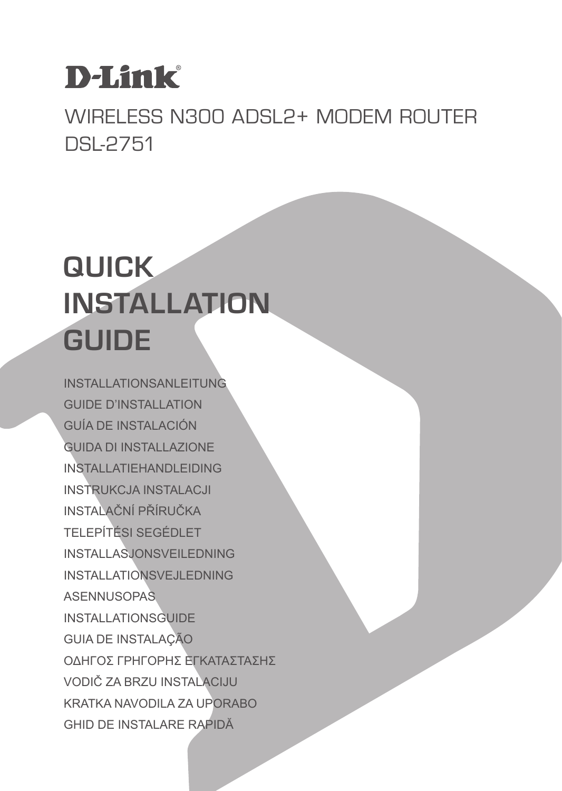## **D-Link**

Wireless N300 ADSL2+ Modem Router DSL-2751

## **QUICK INSTALLATION GUIDE**

INSTALLATIONSANLEITUNG GUIDE D'INSTALLATION GUÍA DE INSTALACIÓN GUIDA DI INSTALLAZIONE INSTALLATIEHANDLEIDING INSTRUKCJA INSTALACJI INSTALAČNÍ PŘÍRUČKA TELEPÍTÉSI SEGÉDLET INSTALLASJONSVEILEDNING INSTALLATIONSVEJLEDNING **ASENNUSOPAS** INSTALLATIONSGUIDE GUIA DE INSTALAÇÃO ΟΔΗΓΟΣ ΓΡΗΓΟΡΗΣ ΕΓΚΑΤΑΣΤΑΣΗΣ VODIČ ZA BRZU INSTALACIJU KRATKA NAVODILA ZA UPORABO GHID DE INSTALARE RAPIDĂ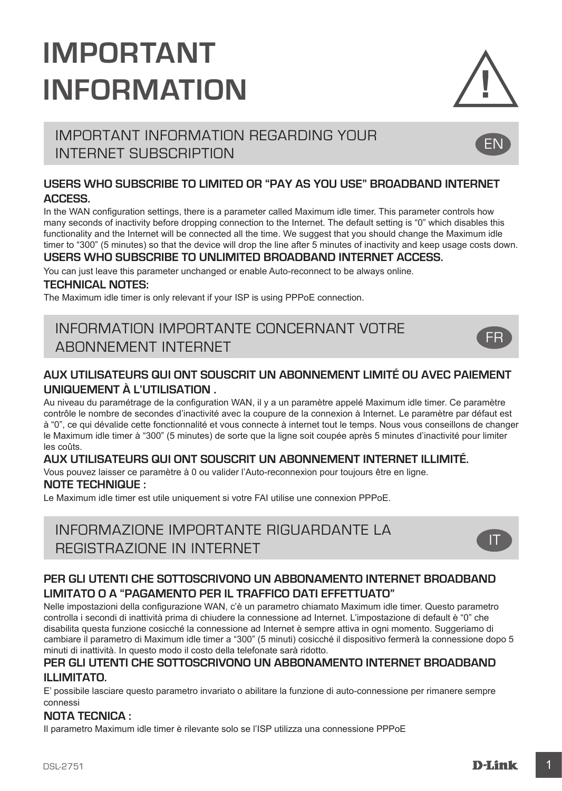## **IMPORTANT INFORMATION**



EN

FR

## IMPORTANT INFORMATION REGARDING YOUR INTERNET SUBSCRIPTION

### **USERS WHO SUBSCRIBE TO LIMITED OR "PAY AS YOU USE" BROADBAND INTERNET ACCESS.**

In the WAN configuration settings, there is a parameter called Maximum idle timer. This parameter controls how many seconds of inactivity before dropping connection to the Internet. The default setting is "0" which disables this functionality and the Internet will be connected all the time. We suggest that you should change the Maximum idle timer to "300" (5 minutes) so that the device will drop the line after 5 minutes of inactivity and keep usage costs down.

### **USERS WHO SUBSCRIBE TO UNLIMITED BROADBAND INTERNET ACCESS.**

You can just leave this parameter unchanged or enable Auto-reconnect to be always online.

### **TECHNICAL NOTES:**

The Maximum idle timer is only relevant if your ISP is using PPPoE connection.

## INFORMATION IMPORTANTE CONCERNANT VOTRE ABONNEMENT INTERNET

### **AUX UTILISATEURS QUI ONT SOUSCRIT UN ABONNEMENT LIMITÉ OU AVEC PAIEMENT UNIQUEMENT À L'UTILISATION .**

Au niveau du paramétrage de la configuration WAN, il y a un paramètre appelé Maximum idle timer. Ce paramètre contrôle le nombre de secondes d'inactivité avec la coupure de la connexion à Internet. Le paramètre par défaut est à "0", ce qui dévalide cette fonctionnalité et vous connecte à internet tout le temps. Nous vous conseillons de changer le Maximum idle timer à "300" (5 minutes) de sorte que la ligne soit coupée après 5 minutes d'inactivité pour limiter les coûts.

### **AUX UTILISATEURS QUI ONT SOUSCRIT UN ABONNEMENT INTERNET ILLIMITÉ.**

Vous pouvez laisser ce paramètre à 0 ou valider l'Auto-reconnexion pour toujours être en ligne.

### **NOTE TECHNIQUE :**

Le Maximum idle timer est utile uniquement si votre FAI utilise une connexion PPPoE.

## INFORMAZIONE IMPORTANTE RIGUARDANTE LA REGISTRAZIONE IN INTERNET



## **PER GLI UTENTI CHE SOTTOSCRIVONO UN ABBONAMENTO INTERNET BROADBAND LIMITATO O A "PAGAMENTO PER IL TRAFFICO DATI EFFETTUATO"**

Nelle impostazioni della configurazione WAN, c'è un parametro chiamato Maximum idle timer. Questo parametro controlla i secondi di inattività prima di chiudere la connessione ad Internet. L'impostazione di default è "0" che disabilita questa funzione cosicché la connessione ad Internet è sempre attiva in ogni momento. Suggeriamo di cambiare il parametro di Maximum idle timer a "300" (5 minuti) cosicché il dispositivo fermerà la connessione dopo 5 minuti di inattività. In questo modo il costo della telefonate sarà ridotto.

### **PER GLI UTENTI CHE SOTTOSCRIVONO UN ABBONAMENTO INTERNET BROADBAND ILLIMITATO.**

E' possibile lasciare questo parametro invariato o abilitare la funzione di auto-connessione per rimanere sempre connessi

### **NOTA TECNICA :**

Il parametro Maximum idle timer è rilevante solo se l'ISP utilizza una connessione PPPoE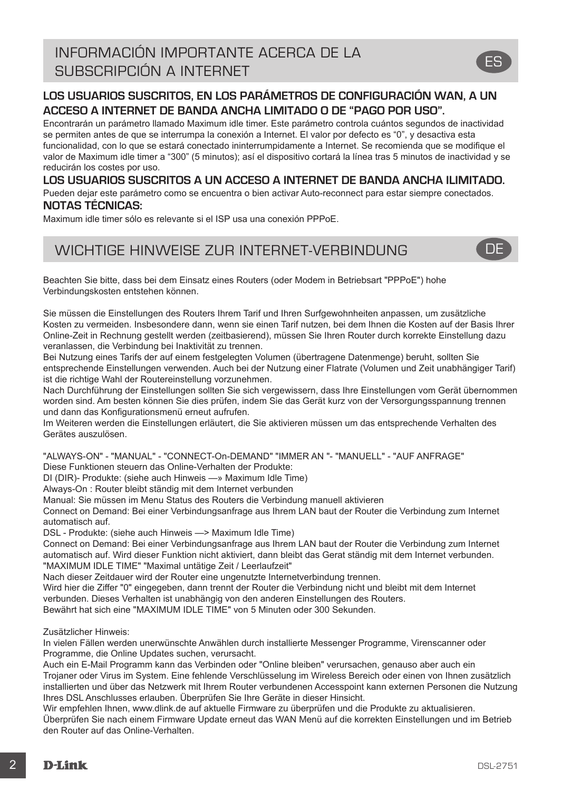## **LOS USUARIOS SUSCRITOS, EN LOS PARÁMETROS DE CONFIGURACIÓN WAN, A UN ACCESO A INTERNET DE BANDA ANCHA LIMITADO O DE "PAGO POR USO".**

Encontrarán un parámetro llamado Maximum idle timer. Este parámetro controla cuántos segundos de inactividad se permiten antes de que se interrumpa la conexión a Internet. El valor por defecto es "0", y desactiva esta funcionalidad, con lo que se estará conectado ininterrumpidamente a Internet. Se recomienda que se modifique el valor de Maximum idle timer a "300" (5 minutos); así el dispositivo cortará la línea tras 5 minutos de inactividad y se reducirán los costes por uso.

## **LOS USUARIOS SUSCRITOS A UN ACCESO A INTERNET DE BANDA ANCHA ILIMITADO.**

Pueden dejar este parámetro como se encuentra o bien activar Auto-reconnect para estar siempre conectados. **NOTAS TÉCNICAS:**

Maximum idle timer sólo es relevante si el ISP usa una conexión PPPoE.

## WICHTIGE HINWEISE ZUR INTERNET-VERBINDUNG **DE**

Beachten Sie bitte, dass bei dem Einsatz eines Routers (oder Modem in Betriebsart "PPPoE") hohe Verbindungskosten entstehen können.

Sie müssen die Einstellungen des Routers Ihrem Tarif und Ihren Surfgewohnheiten anpassen, um zusätzliche Kosten zu vermeiden. Insbesondere dann, wenn sie einen Tarif nutzen, bei dem Ihnen die Kosten auf der Basis Ihrer Online-Zeit in Rechnung gestellt werden (zeitbasierend), müssen Sie Ihren Router durch korrekte Einstellung dazu veranlassen, die Verbindung bei Inaktivität zu trennen.

Bei Nutzung eines Tarifs der auf einem festgelegten Volumen (übertragene Datenmenge) beruht, sollten Sie entsprechende Einstellungen verwenden. Auch bei der Nutzung einer Flatrate (Volumen und Zeit unabhängiger Tarif) ist die richtige Wahl der Routereinstellung vorzunehmen.

Nach Durchführung der Einstellungen sollten Sie sich vergewissern, dass Ihre Einstellungen vom Gerät übernommen worden sind. Am besten können Sie dies prüfen, indem Sie das Gerät kurz von der Versorgungsspannung trennen und dann das Konfigurationsmenü erneut aufrufen.

Im Weiteren werden die Einstellungen erläutert, die Sie aktivieren müssen um das entsprechende Verhalten des Gerätes auszulösen.

"ALWAYS-ON" - "MANUAL" - "CONNECT-On-DEMAND" "IMMER AN "- "MANUELL" - "AUF ANFRAGE"

Diese Funktionen steuern das Online-Verhalten der Produkte:

DI (DIR)- Produkte: (siehe auch Hinweis —» Maximum Idle Time)

Always-On : Router bleibt ständig mit dem Internet verbunden

Manual: Sie müssen im Menu Status des Routers die Verbindung manuell aktivieren

Connect on Demand: Bei einer Verbindungsanfrage aus Ihrem LAN baut der Router die Verbindung zum Internet automatisch auf.

DSL - Produkte: (siehe auch Hinweis —> Maximum Idle Time)

Connect on Demand: Bei einer Verbindungsanfrage aus Ihrem LAN baut der Router die Verbindung zum Internet automatisch auf. Wird dieser Funktion nicht aktiviert, dann bleibt das Gerat ständig mit dem Internet verbunden. "MAXIMUM IDLE TIME" "Maximal untätige Zeit / Leerlaufzeit"

Nach dieser Zeitdauer wird der Router eine ungenutzte Internetverbindung trennen.

Wird hier die Ziffer "0" eingegeben, dann trennt der Router die Verbindung nicht und bleibt mit dem Internet verbunden. Dieses Verhalten ist unabhängig von den anderen Einstellungen des Routers.

Bewährt hat sich eine "MAXIMUM IDLE TIME" von 5 Minuten oder 300 Sekunden.

Zusätzlicher Hinweis:

In vielen Fällen werden unerwünschte Anwählen durch installierte Messenger Programme, Virenscanner oder Programme, die Online Updates suchen, verursacht.

Auch ein E-Mail Programm kann das Verbinden oder "Online bleiben" verursachen, genauso aber auch ein Trojaner oder Virus im System. Eine fehlende Verschlüsselung im Wireless Bereich oder einen von Ihnen zusätzlich installierten und über das Netzwerk mit Ihrem Router verbundenen Accesspoint kann externen Personen die Nutzung Ihres DSL Anschlusses erlauben. Überprüfen Sie Ihre Geräte in dieser Hinsicht.

Wir empfehlen Ihnen, www.dlink.de auf aktuelle Firmware zu überprüfen und die Produkte zu aktualisieren. Überprüfen Sie nach einem Firmware Update erneut das WAN Menü auf die korrekten Einstellungen und im Betrieb den Router auf das Online-Verhalten.



ES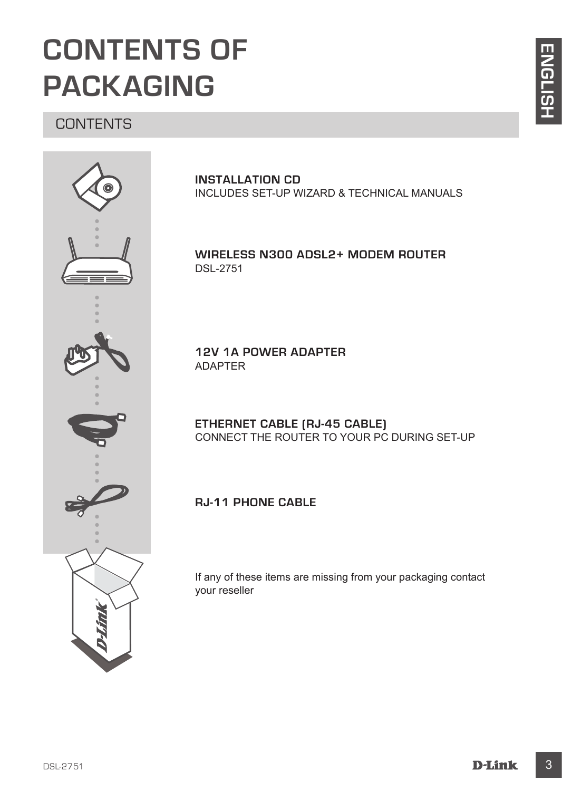## **CONTENTS OF PACKAGING**

## **CONTENTS**



**INSTALLATION CD**  INCLUDES SET-UP WIZARD & TECHNICAL MANUALS

**Wireless N300 ADSL2+ Modem Router** DSL-2751

**12V 1A POWER ADAPTER** ADAPTER

**ETHERNET CABLE (RJ-45 CABLE)** CONNECT THE ROUTER TO YOUR PC DURING SET-UP

## **RJ-11 Phone Cable**

If any of these items are missing from your packaging contact your reseller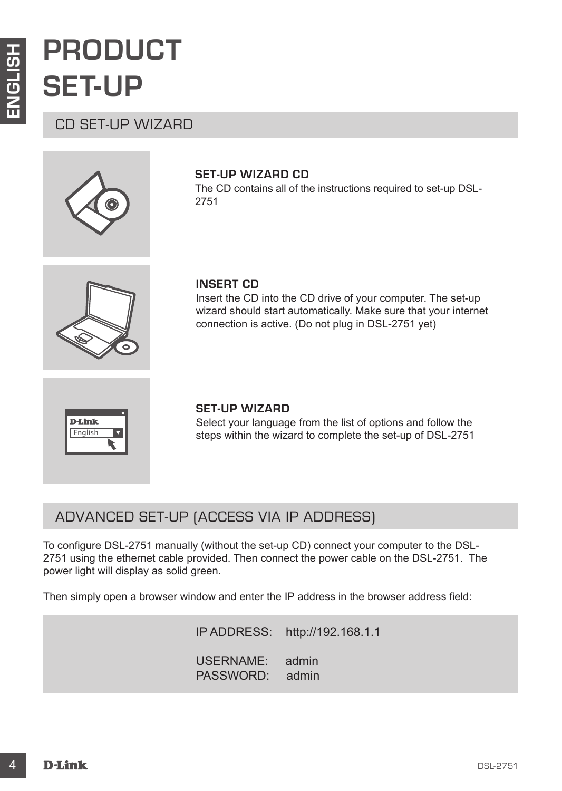## **PRODUCT SET-UP**

## CD SET-UP WIZARD



## **SET-UP WIZARD CD**

The CD contains all of the instructions required to set-up DSL-2751



### **INSERT CD**

Insert the CD into the CD drive of your computer. The set-up wizard should start automatically. Make sure that your internet connection is active. (Do not plug in DSL-2751 yet)



### **SET-UP WIZARD**

Select your language from the list of options and follow the steps within the wizard to complete the set-up of DSL-2751

## ADVANCED SET-UP (ACCESS VIA IP ADDRESS)

**EXAMPLE CONSULTS AND SET-UP WIZARD CD**<br>
CD SET-UP WIZARD The CD contains all of the instructions required to set up DSL-<br>
The CD contains all of the instructions required to set up DSL-<br>
MISERT CD<br>
Insect the CD into the To configure DSL-2751 manually (without the set-up CD) connect your computer to the DSL-2751 using the ethernet cable provided. Then connect the power cable on the DSL-2751. The power light will display as solid green.

Then simply open a browser window and enter the IP address in the browser address field:

IP ADDRESS: http://192.168.1.1 USERNAME: admin PASSWORD: admin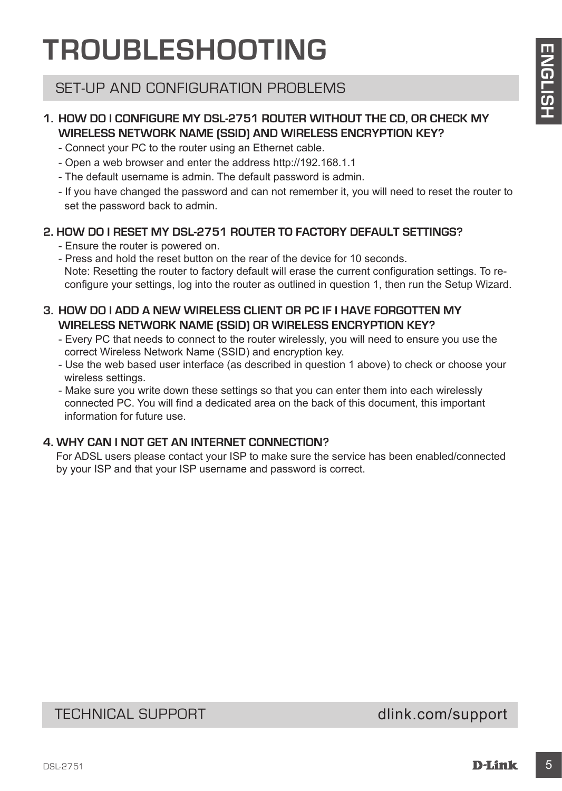## **TROUBLESHOOTING**

## SET-UP AND CONFIGURATION PROBLEMS

## **1. HOW DO I CONFIGURE MY DSL-2751 ROUTER WITHOUT THE CD, OR CHECK MY WIRELESS NETWORK NAME (SSID) AND WIRELESS ENCRYPTION KEY?**

- Connect your PC to the router using an Ethernet cable.
- Open a web browser and enter the address http://192.168.1.1
- The default username is admin. The default password is admin.
- If you have changed the password and can not remember it, you will need to reset the router to set the password back to admin.

## **2. HOW DO I RESET MY DSL-2751 ROUTER TO FACTORY DEFAULT SETTINGS?**

- Ensure the router is powered on.
- **IF ROUDISTLE SHOUTING THE REAL CONFIGURATION PROBLEMS CONFIGURATION (SEE THE REAL CONFIGURATION PROBLEMS)**<br>
SET-UP AND CONFIGURATION PROBLEMS CONFIGURATION (SEE THE REAL CONFIGURATION CONFIGURATION CONFIGURATION CONFIGURA - Press and hold the reset button on the rear of the device for 10 seconds. Note: Resetting the router to factory default will erase the current configuration settings. To reconfigure your settings, log into the router as outlined in question 1, then run the Setup Wizard.

## **3. HOW DO I ADD A NEW WIRELESS CLIENT OR PC IF I HAVE FORGOTTEN MY WIRELESS NETWORK NAME (SSID) OR WIRELESS ENCRYPTION KEY?**

- Every PC that needs to connect to the router wirelessly, you will need to ensure you use the correct Wireless Network Name (SSID) and encryption key.
- Use the web based user interface (as described in question 1 above) to check or choose your wireless settings.
- Make sure you write down these settings so that you can enter them into each wirelessly connected PC. You will find a dedicated area on the back of this document, this important information for future use.

## **4. WHY CAN I NOT GET AN INTERNET CONNECTION?**

For ADSL users please contact your ISP to make sure the service has been enabled/connected by your ISP and that your ISP username and password is correct.

## TECHNICAL SUPPORT dlink.com/support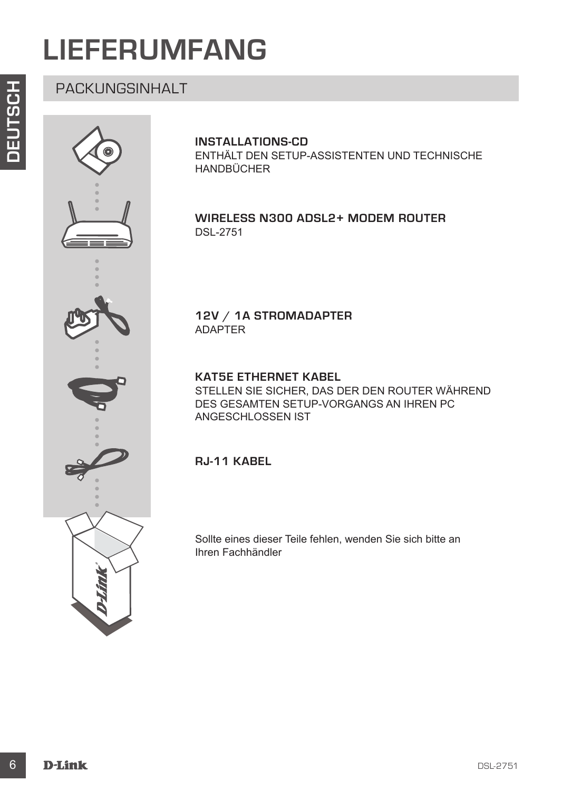## **LIEFERUMFANG**

## PACKUNGSINHALT



## **INSTALLATIONS-CD**

ENTHÄLT DEN SETUP-ASSISTENTEN UND TECHNISCHE HANDBÜCHER

### **Wireless N300 ADSL2+ Modem Router** DSL-2751

## **12V / 1A STROMADAPTER** ADAPTER

**KAT5E ETHERNET KABEL**  STELLEN SIE SICHER, DAS DER DEN ROUTER WÄHREND DES GESAMTEN SETUP-VORGANGS AN IHREN PC ANGESCHLOSSEN IST

## **RJ-11 Kabel**

Sollte eines dieser Teile fehlen, wenden Sie sich bitte an Ihren Fachhändler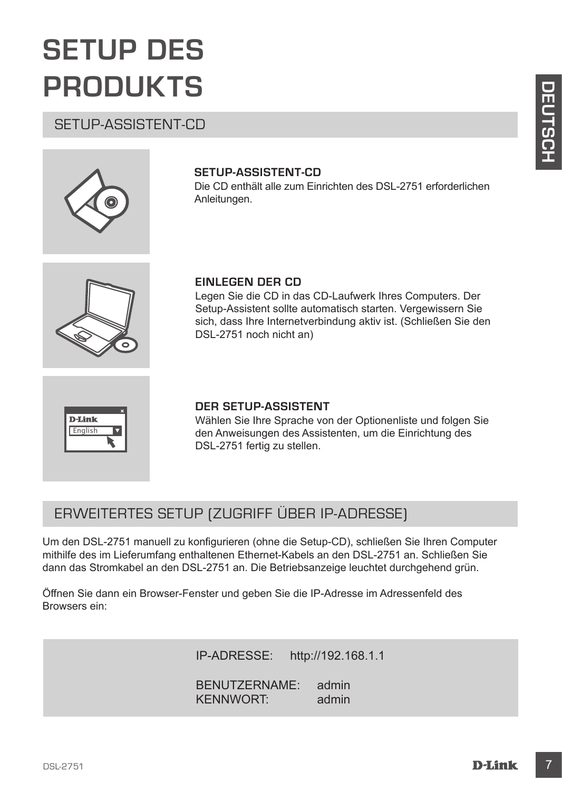## **SETUP DES PRODUKTS**

## SETUP-ASSISTENT-CD



## **SETUP-ASSISTENT-CD**

Die CD enthält alle zum Einrichten des DSL-2751 erforderlichen Anleitungen.



## **EINLEGEN DER CD**

Legen Sie die CD in das CD-Laufwerk Ihres Computers. Der Setup-Assistent sollte automatisch starten. Vergewissern Sie sich, dass Ihre Internetverbindung aktiv ist. (Schließen Sie den DSL-2751 noch nicht an)



## **DER SETUP-ASSISTENT**

Wählen Sie Ihre Sprache von der Optionenliste und folgen Sie den Anweisungen des Assistenten, um die Einrichtung des DSL-2751 fertig zu stellen.

## ERWEITERTES SETUP (ZUGRIFF ÜBER IP-ADRESSE)

**DETUP-ASSISTENT-CD**<br>
SETUP-ASSISTENT-CD<br>
DETUP-ASSISTENT-CD<br>
DETUP-ASSISTENT-CD<br>
DETUP-ASSISTENT-CD<br>
Aneleurgee.<br>
EINLEGEN DER CD<br>
Legen Sie die CD in dis CD-Laufwerk lives Computers. Der<br>
Legen Sie die CD in dis CD-Laufw Um den DSL-2751 manuell zu konfigurieren (ohne die Setup-CD), schließen Sie Ihren Computer mithilfe des im Lieferumfang enthaltenen Ethernet-Kabels an den DSL-2751 an. Schließen Sie dann das Stromkabel an den DSL-2751 an. Die Betriebsanzeige leuchtet durchgehend grün.

Öffnen Sie dann ein Browser-Fenster und geben Sie die IP-Adresse im Adressenfeld des Browsers ein:

IP-ADRESSE: http://192.168.1.1

BENUTZERNAME: admin KENNWORT: admin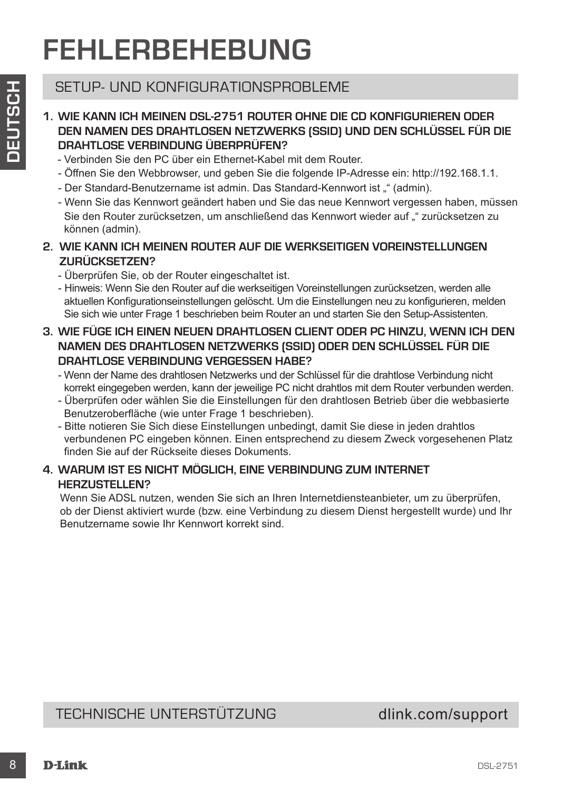## **FEHLERBEHEBUNG**

## SETUP- UND KONFIGURATIONSPROBLEME

- **1. WIE KANN ICH MEINEN DSL-2751 ROUTER OHNE DIE CD KONFIGURIEREN ODER DEN NAMEN DES DRAHTLOSEN NETZWERKS (SSID) UND DEN SCHLÜSSEL FÜR DIE DRAHTLOSE VERBINDUNG ÜBERPRÜFEN?**
	- Verbinden Sie den PC über ein Ethernet-Kabel mit dem Router.
	- Öffnen Sie den Webbrowser, und geben Sie die folgende IP-Adresse ein: http://192.168.1.1.
	- Der Standard-Benutzername ist admin. Das Standard-Kennwort ist "" (admin).
	- Wenn Sie das Kennwort geändert haben und Sie das neue Kennwort vergessen haben, müssen Sie den Router zurücksetzen, um anschließend das Kennwort wieder auf "" zurücksetzen zu können (admin).
- **2. WIE KANN ICH MEINEN ROUTER AUF DIE WERKSEITIGEN VOREINSTELLUNGEN ZURÜCKSETZEN?**
	- Überprüfen Sie, ob der Router eingeschaltet ist.
	- Hinweis: Wenn Sie den Router auf die werkseitigen Voreinstellungen zurücksetzen, werden alle aktuellen Konfigurationseinstellungen gelöscht. Um die Einstellungen neu zu konfigurieren, melden Sie sich wie unter Frage 1 beschrieben beim Router an und starten Sie den Setup-Assistenten.
- SETUP- UND KONFIGUERATIONSPFIGELEME<br>
TO WE KANNICHY MENEN DRIL-2751 ROUTER CHINE DIE CO KONFIGUEREREN ODER<br>
DIEN NAMNEN DES DRAHTLOSEN NETZWERKS (SISID) UND DEN SCHLUSSEL FÜR DIE<br>
DIEN NAMNEN DES DRAHTLOSEN NETZWERKS (SISI **3. WIE FÜGE ICH EINEN NEUEN DRAHTLOSEN CLIENT ODER PC HINZU, WENN ICH DEN NAMEN DES DRAHTLOSEN NETZWERKS (SSID) ODER DEN SCHLÜSSEL FÜR DIE DRAHTLOSE VERBINDLING VERGESSEN HABE?** 
	- Wenn der Name des drahtlosen Netzwerks und der Schlüssel für die drahtlose Verbindung nicht korrekt eingegeben werden, kann der jeweilige PC nicht drahtlos mit dem Router verbunden werden.
	- Überprüfen oder wählen Sie die Einstellungen für den drahtlosen Betrieb über die webbasierte Benutzeroberfläche (wie unter Frage 1 beschrieben).
	- Bitte notieren Sie Sich diese Einstellungen unbedingt, damit Sie diese in jeden drahtlos verbundenen PC eingeben können. Einen entsprechend zu diesem Zweck vorgesehenen Platz finden Sie auf der Rückseite dieses Dokuments.

## **4. WARUM IST ES NICHT MÖGLICH, EINE VERBINDUNG ZUM INTERNET HERZUSTELLEN?**

Wenn Sie ADSL nutzen, wenden Sie sich an Ihren Internetdiensteanbieter, um zu überprüfen, ob der Dienst aktiviert wurde (bzw. eine Verbindung zu diesem Dienst hergestellt wurde) und Ihr Benutzername sowie Ihr Kennwort korrekt sind.

## TECHNISCHE UNTERSTÜTZUNG dlink.com/support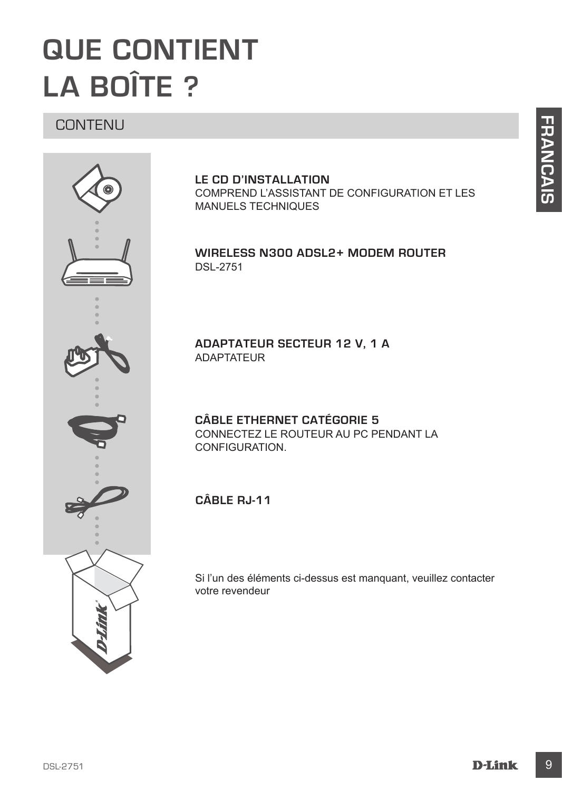## **QUE CONTIENT LA BOÎTE ?**

## CONTENU



### **LE CD D'INSTALLATION**  COMPREND L'ASSISTANT DE CONFIGURATION ET LES MANUELS TECHNIQUES

## **Wireless N300 ADSL2+ Modem Router** DSL-2751

**ADAPTATEUR SECTEUR 12 V, 1 A** ADAPTATEUR

**CÂBLE ETHERNET CATÉGORIE 5**  CONNECTEZ LE ROUTEUR AU PC PENDANT LA CONFIGURATION.

**câble RJ-11** 

Si l'un des éléments ci-dessus est manquant, veuillez contacter votre revendeur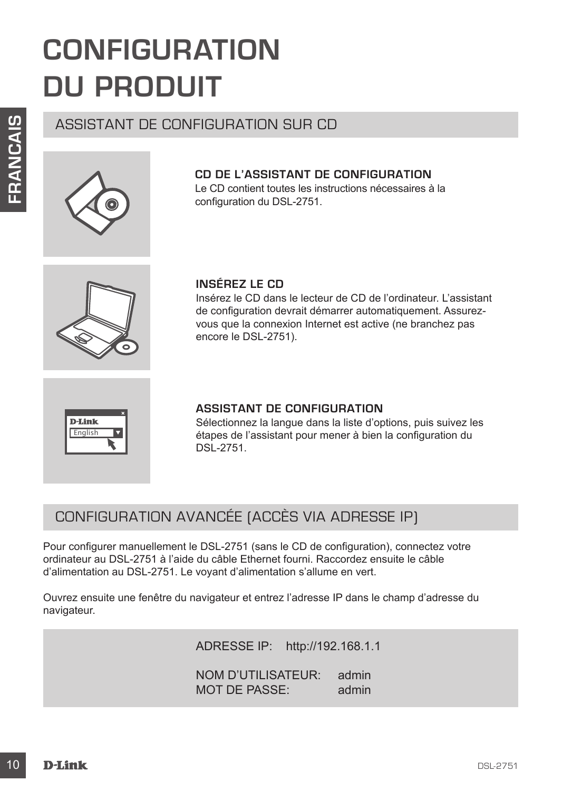## **CONFIGURATION DU PRODUIT**

## ASSISTANT DE CONFIGURATION SUR CD



### **CD DE L'ASSISTANT DE CONFIGURATION** Le CD contient toutes les instructions nécessaires à la configuration du DSL-2751.

**INSÉREZ LE CD** 

Insérez le CD dans le lecteur de CD de l'ordinateur. L'assistant de configuration devrait démarrer automatiquement. Assurezvous que la connexion Internet est active (ne branchez pas encore le DSL-2751).



### **ASSISTANT DE CONFIGURATION**

Sélectionnez la langue dans la liste d'options, puis suivez les étapes de l'assistant pour mener à bien la configuration du DSL-2751.

## CONFIGURATION AVANCÉE (ACCÈS VIA ADRESSE IP)

**EXECUTE CONFIGUIRATION SUR CD<br>
CD DE L'ASSISTANT DE CONFIGUIRATION<br>
Le CD contient toutes les instructions nécessaires à la<br>
configuration du DSL-2751.<br>
<b>INSÉREZ LE CD**<br>
Insére Le CD de Tordinateur. L'assistant<br>
de config Pour configurer manuellement le DSL-2751 (sans le CD de configuration), connectez votre ordinateur au DSL-2751 à l'aide du câble Ethernet fourni. Raccordez ensuite le câble d'alimentation au DSL-2751. Le voyant d'alimentation s'allume en vert.

Ouvrez ensuite une fenêtre du navigateur et entrez l'adresse IP dans le champ d'adresse du navigateur.

ADRESSE IP: http://192.168.1.1

NOM D'UTILISATEUR: admin<br>MOT DE PASSE: admin MOT DE PASSE: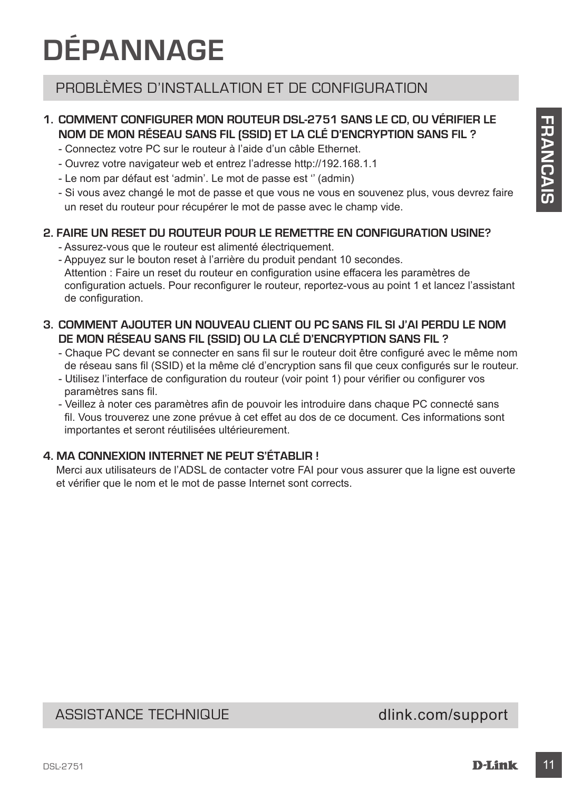## **DÉPANNAGE**

## PROBLÈMES D'INSTALLATION ET DE CONFIGURATION

## **1. COMMENT CONFIGURER MON ROUTEUR DSL-2751 SANS LE CD, OU VÉRIFIER LE NOM DE MON RÉSEAU SANS FIL (SSID) ET LA CLÉ D'ENCRYPTION SANS FIL ?**

- Connectez votre PC sur le routeur à l'aide d'un câble Ethernet.
- Ouvrez votre navigateur web et entrez l'adresse http://192.168.1.1
- Le nom par défaut est 'admin'. Le mot de passe est '' (admin)
- Si vous avez changé le mot de passe et que vous ne vous en souvenez plus, vous devrez faire un reset du routeur pour récupérer le mot de passe avec le champ vide.

## **2. FAIRE UN RESET DU ROUTEUR POUR LE REMETTRE EN CONFIGURATION USINE?**

- Assurez-vous que le routeur est alimenté électriquement.
- 1. **COMMENT CONFIGUERE NON MOUTEUR DER** CONSIDERATION DESCRIPTION CONSIDERED TO THE CONFIGUERED CONTINUES INTO THE CONFIGUERED CONFIGUERED CONFIGUERED CONFIGUERED CONFIGUER CONFIGUERED CONFIGUERED CONFIGUER CONFIGUER CONF - Appuyez sur le bouton reset à l'arrière du produit pendant 10 secondes. Attention : Faire un reset du routeur en configuration usine effacera les paramètres de configuration actuels. Pour reconfigurer le routeur, reportez-vous au point 1 et lancez l'assistant de configuration.

## **3. COMMENT AJOUTER UN NOUVEAU CLIENT OU PC SANS FIL SI J'AI PERDU LE NOM DE MON RÉSEAU SANS FIL (SSID) OU LA CLÉ D'ENCRYPTION SANS FIL ?**

- Chaque PC devant se connecter en sans fil sur le routeur doit être configuré avec le même nom de réseau sans fil (SSID) et la même clé d'encryption sans fil que ceux configurés sur le routeur.
- Utilisez l'interface de configuration du routeur (voir point 1) pour vérifier ou configurer vos paramètres sans fil.
- Veillez à noter ces paramètres afin de pouvoir les introduire dans chaque PC connecté sans fil. Vous trouverez une zone prévue à cet effet au dos de ce document. Ces informations sont importantes et seront réutilisées ultérieurement.

## **4. MA CONNEXION INTERNET NE PEUT S'ÉTABLIR !**

Merci aux utilisateurs de l'ADSL de contacter votre FAI pour vous assurer que la ligne est ouverte et vérifier que le nom et le mot de passe Internet sont corrects.

## ASSISTANCE TECHNIQUE dlink.com/support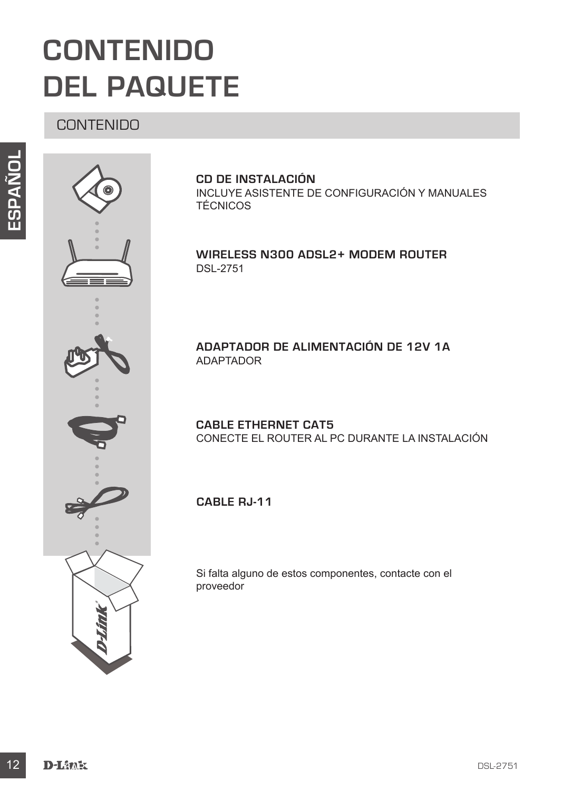## **CONTENIDO DEL PAQUETE**

## CONTENIDO





### **CD DE INSTALACIÓN** INCLUYE ASISTENTE DE CONFIGURACIÓN Y MANUALES TÉCNICOS

## **Wireless N300 ADSL2+ Modem Router** DSL-2751

## **ADAPTADOR DE ALIMENTACIÓN DE 12V 1A** ADAPTADOR

**CABLE ETHERNET CAT5** CONECTE EL ROUTER AL PC DURANTE LA INSTALACIÓN

**cable RJ-11**

Si falta alguno de estos componentes, contacte con el proveedor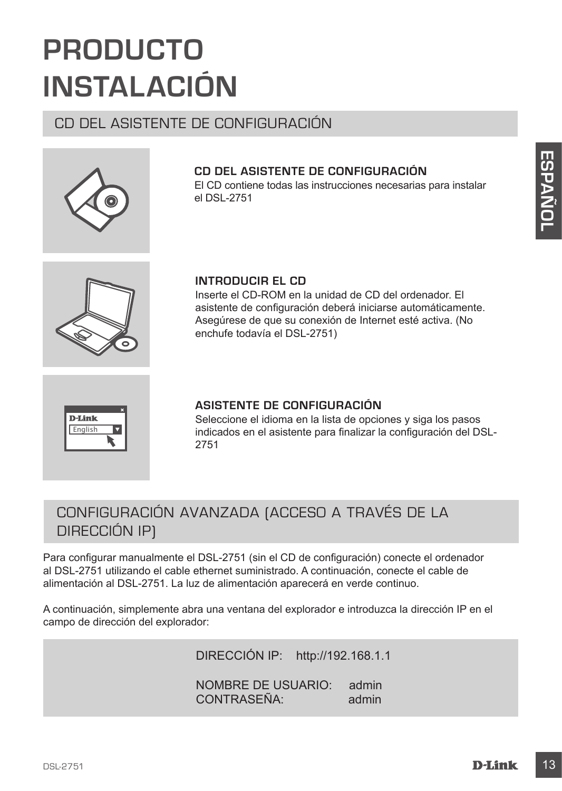## **PRODUCTO INSTALACIÓN**

## CD DEL ASISTENTE DE CONFIGURACIÓN

## **CD DEL ASISTENTE DE CONFIGURACIÓN**

El CD contiene todas las instrucciones necesarias para instalar el DSL-2751

English

### **INTRODUCIR EL CD**

Inserte el CD-ROM en la unidad de CD del ordenador. El asistente de configuración deberá iniciarse automáticamente. Asegúrese de que su conexión de Internet esté activa. (No enchufe todavía el DSL-2751)



Seleccione el idioma en la lista de opciones y siga los pasos indicados en el asistente para finalizar la configuración del DSL-2751

## CONFIGURACIÓN AVANZADA (ACCESO A TRAVÉS DE LA DIRECCIÓN IP)

CD DEL ASISTENTE DE CONFIGURACIÓN<br>
El CD condiden bodis las instrucciones necesarias para instalar<br>
el DSL-2751<br> **INTRODUCIR EL CD**<br>
INTERDUCIR EL CD<br>
INTERDUCIR EL CD<br>
INSERIENTE EL CO<br>
Assignmente de configuración debrai Para configurar manualmente el DSL-2751 (sin el CD de configuración) conecte el ordenador al DSL-2751 utilizando el cable ethernet suministrado. A continuación, conecte el cable de alimentación al DSL-2751. La luz de alimentación aparecerá en verde continuo.

A continuación, simplemente abra una ventana del explorador e introduzca la dirección IP en el campo de dirección del explorador:

DIRECCIÓN IP: http://192.168.1.1

NOMBRE DE USUARIO: admin CONTRASEÑA: admin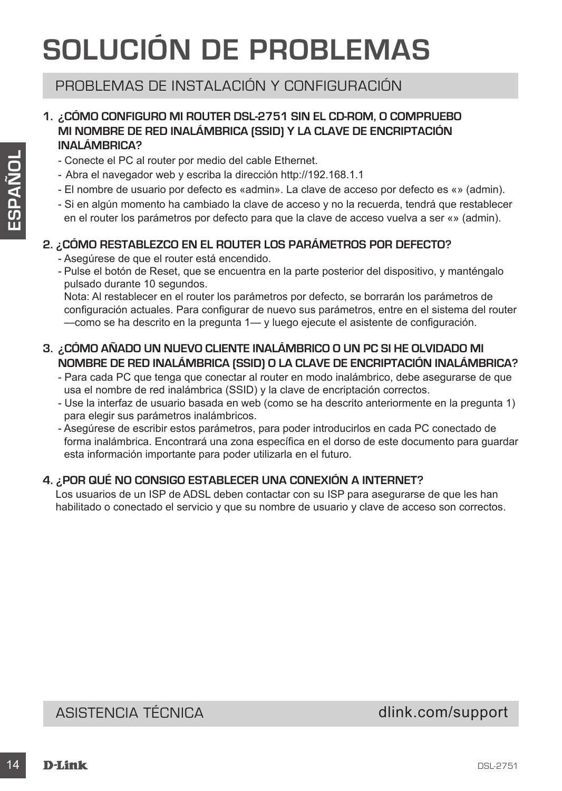## **SOLUCIÓN DE PROBLEMAS**

## PROBLEMAS DE INSTALACIÓN Y CONFIGURACIÓN

## **1. ¿CÓMO CONFIGURO MI ROUTER DSL-2751 SIN EL CD-ROM, O COMPRUEBO MI NOMBRE DE RED INALÁMBRICA (SSID) Y LA CLAVE DE ENCRIPTACIÓN INALÁMBRICA?**

- Conecte el PC al router por medio del cable Ethernet.
- Abra el navegador web y escriba la dirección http://192.168.1.1
- El nombre de usuario por defecto es «admin». La clave de acceso por defecto es «» (admin).
- Si en algún momento ha cambiado la clave de acceso y no la recuerda, tendrá que restablecer en el router los parámetros por defecto para que la clave de acceso vuelva a ser «» (admin).

## **2. ¿CÓMO RESTABLEZCO EN EL ROUTER LOS PARÁMETROS POR DEFECTO?**

- Asegúrese de que el router está encendido.
- Pulse el botón de Reset, que se encuentra en la parte posterior del dispositivo, y manténgalo pulsado durante 10 segundos.

Nota: Al restablecer en el router los parámetros por defecto, se borrarán los parámetros de configuración actuales. Para configurar de nuevo sus parámetros, entre en el sistema del router —como se ha descrito en la pregunta 1— y luego ejecute el asistente de configuración.

### **3. ¿CÓMO AÑADO UN NUEVO CLIENTE INALÁMBRICO O UN PC SI HE OLVIDADO MI NOMBRE DE RED INALÁMBRICA (SSID) O LA CLAVE DE ENCRIPTACIÓN INALÁMBRICA?**

- Para cada PC que tenga que conectar al router en modo inalámbrico, debe asegurarse de que usa el nombre de red inalámbrica (SSID) y la clave de encriptación correctos.
- Use la interfaz de usuario basada en web (como se ha descrito anteriormente en la pregunta 1) para elegir sus parámetros inalámbricos.
- Concele el PC ai router por medio del cable Eftiemet.<br>
Abra el navegador veb y escriba la dirección http://192.168.1.1<br>
 En nonito de usuario por defecto es «admini». La diave de acceso pro derecuenda, tendrá que restab - Asegúrese de escribir estos parámetros, para poder introducirlos en cada PC conectado de forma inalámbrica. Encontrará una zona específica en el dorso de este documento para guardar esta información importante para poder utilizarla en el futuro.

### **4. ¿POR QUÉ NO CONSIGO ESTABLECER UNA CONEXIÓN A INTERNET?**

Los usuarios de un ISP de ADSL deben contactar con su ISP para asegurarse de que les han habilitado o conectado el servicio y que su nombre de usuario y clave de acceso son correctos.

ASISTENCIA TÉCNICA dlink.com/support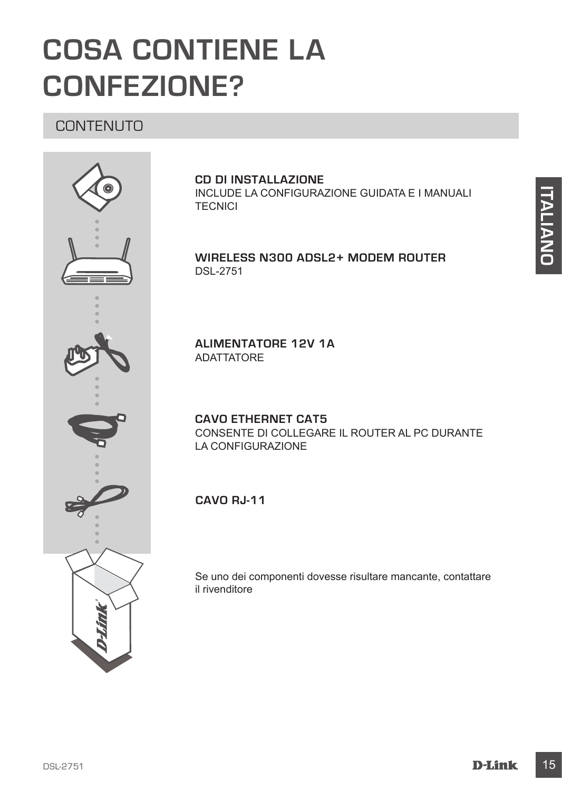## **COSA CONTIENE LA CONFEZIONE?**

## CONTENUTO



### **CD DI INSTALLAZIONE**  INCLUDE LA CONFIGURAZIONE GUIDATA E I MANUALI **TECNICI**

## **Wireless N300 ADSL2+ Modem Router** DSL-2751

**ALIMENTATORE 12V 1A** ADATTATORE

**CAVO ETHERNET CAT5** CONSENTE DI COLLEGARE IL ROUTER AL PC DURANTE LA CONFIGURAZIONE

**Cavo RJ-11**

Se uno dei componenti dovesse risultare mancante, contattare il rivenditore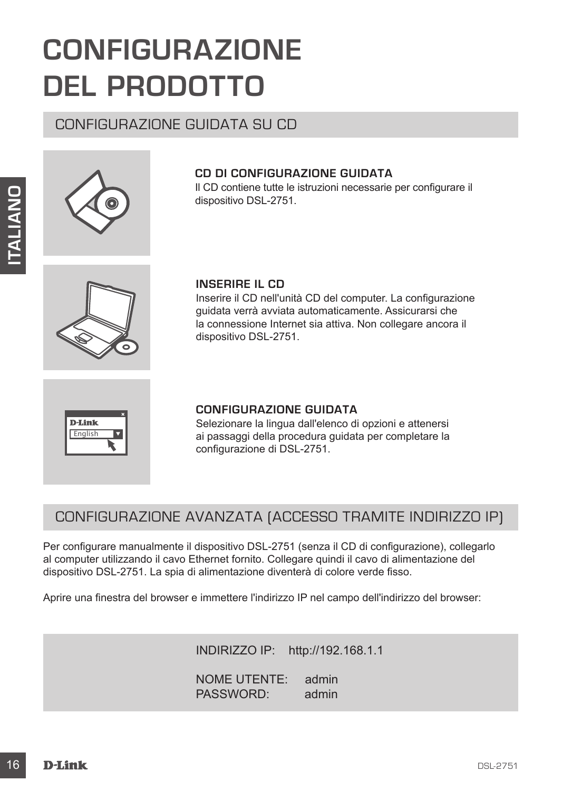## **CONFIGURAZIONE DEL PRODOTTO**

## CONFIGURAZIONE GUIDATA SU CD





Il CD contiene tutte le istruzioni necessarie per configurare il dispositivo DSL-2751.



## **INSERIRE IL CD**

Inserire il CD nell'unità CD del computer. La configurazione guidata verrà avviata automaticamente. Assicurarsi che la connessione Internet sia attiva. Non collegare ancora il dispositivo DSL-2751.



## **CONFIGURAZIONE GUIDATA**

Selezionare la lingua dall'elenco di opzioni e attenersi ai passaggi della procedura guidata per completare la configurazione di DSL-2751.

## CONFIGURAZIONE AVANZATA (ACCESSO TRAMITE INDIRIZZO IP)

**INSERIE II. CD**<br>
Integration DESESSITE:<br>
Integration DESESSITE II. CD<br>
Integration DC of computer. La configurazione<br>
gluddate vertex aivant avanta automatical method. Associarasi de<br>
Integrative III CONFIGURAZIONE GUIDAT Per configurare manualmente il dispositivo DSL-2751 (senza il CD di configurazione), collegarlo al computer utilizzando il cavo Ethernet fornito. Collegare quindi il cavo di alimentazione del dispositivo DSL-2751. La spia di alimentazione diventerà di colore verde fisso.

Aprire una finestra del browser e immettere l'indirizzo IP nel campo dell'indirizzo del browser:

INDIRIZZO IP: http://192.168.1.1

NOME UTENTE: admin PASSWORD: admin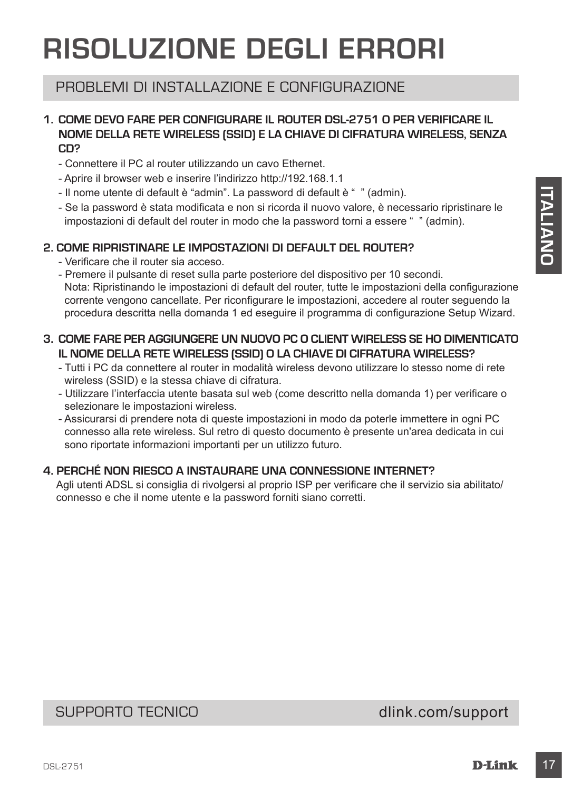## **RISOLUZIONE DEGLI ERRORI**

## PROBLEMI DI INSTALLAZIONE E CONFIGURAZIONE

## **1. COME DEVO FARE PER CONFIGURARE IL ROUTER DSL-2751 O PER VERIFICARE IL NOME DELLA RETE WIRELESS (SSID) E LA CHIAVE DI CIFRATURA WIRELESS, SENZA CD?**

- Connettere il PC al router utilizzando un cavo Ethernet.
- Aprire il browser web e inserire l'indirizzo http://192.168.1.1
- Il nome utente di default è "admin". La password di default è " " (admin).
- Se la password è stata modificata e non si ricorda il nuovo valore, è necessario ripristinare le impostazioni di default del router in modo che la password torni a essere " " (admin).

## **2. COME RIPRISTINARE LE IMPOSTAZIONI DI DEFAULT DEL ROUTER?**

- Verificare che il router sia acceso.
- It nome uterted idefault <sup>o</sup> "admin". La password didefault <sup>o</sup> "catimi).<br>
 Se la password é stata modificata e non si ricorda il nuovo vatore, è necessario ripristinare le impostazioni di default del router in modo che - Premere il pulsante di reset sulla parte posteriore del dispositivo per 10 secondi. Nota: Ripristinando le impostazioni di default del router, tutte le impostazioni della configurazione corrente vengono cancellate. Per riconfigurare le impostazioni, accedere al router seguendo la procedura descritta nella domanda 1 ed eseguire il programma di configurazione Setup Wizard.

## **3. COME FARE PER AGGIUNGERE UN NUOVO PC O CLIENT WIRELESS SE HO DIMENTICATO IL NOME DELLA RETE WIRELESS (SSID) O LA CHIAVE DI CIFRATURA WIRELESS?**

- Tutti i PC da connettere al router in modalità wireless devono utilizzare lo stesso nome di rete wireless (SSID) e la stessa chiave di cifratura.
- Utilizzare l'interfaccia utente basata sul web (come descritto nella domanda 1) per verificare o selezionare le impostazioni wireless.
- Assicurarsi di prendere nota di queste impostazioni in modo da poterle immettere in ogni PC connesso alla rete wireless. Sul retro di questo documento è presente un'area dedicata in cui sono riportate informazioni importanti per un utilizzo futuro.

## **4. PERCHÉ NON RIESCO A INSTAURARE UNA CONNESSIONE INTERNET?**

Agli utenti ADSL si consiglia di rivolgersi al proprio ISP per verificare che il servizio sia abilitato/ connesso e che il nome utente e la password forniti siano corretti.

## SUPPORTO TECNICO dlink.com/support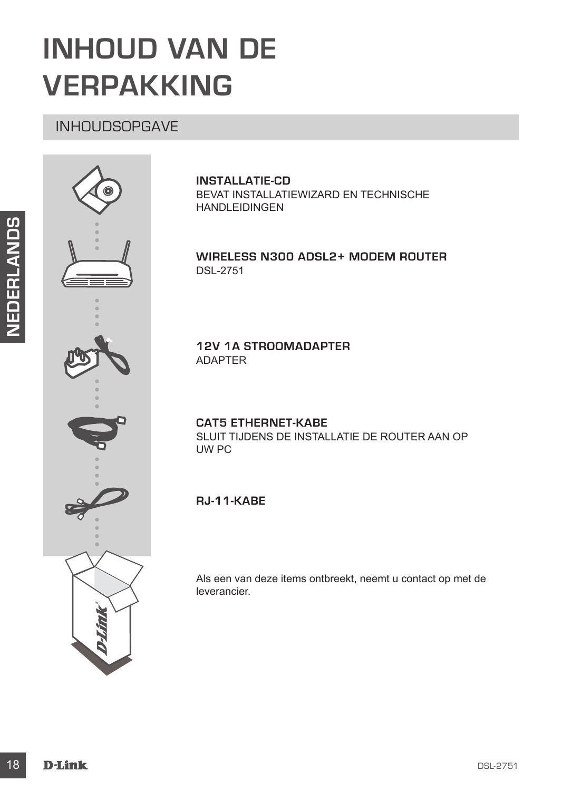## **INHOUD VAN DE VERPAKKING**

## INHOUDSOPGAVE



## **INSTALLATIE-CD**

BEVAT INSTALLATIEWIZARD EN TECHNISCHE HANDLEIDINGEN

## **Wireless N300 ADSL2+ Modem Router** DSL-2751

**12V 1A STROOMADAPTER** ADAPTER

**CAT5 ETHERNET-KABE** SLUIT TIJDENS DE INSTALLATIE DE ROUTER AAN OP UW PC

## **RJ-11-kabe**

Als een van deze items ontbreekt, neemt u contact op met de leverancier.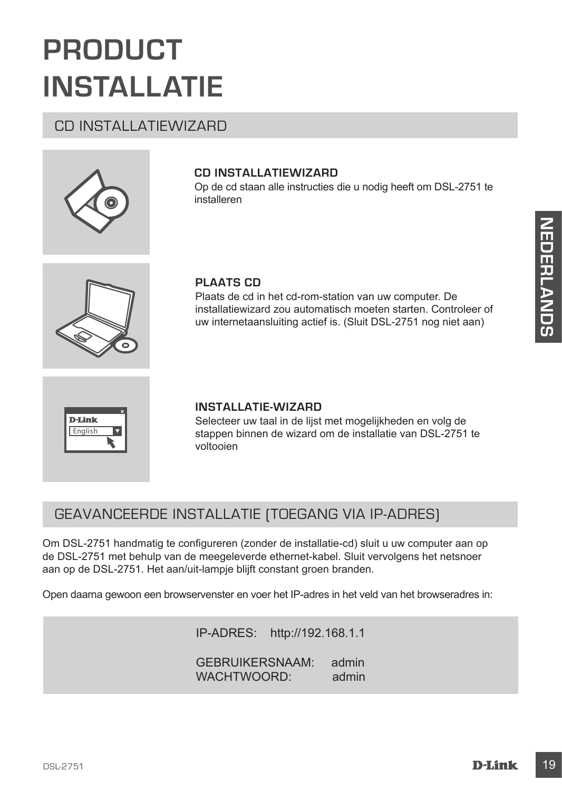## **PRODUCT INSTALLATIE**

## CD INSTALLATIEWIZARD

## **CD INSTALLATIEWIZARD**

Op de cd staan alle instructies die u nodig heeft om DSL-2751 te installeren



### **PLAATS CD**

Plaats de cd in het cd-rom-station van uw computer. De installatiewizard zou automatisch moeten starten. Controleer of uw internetaansluiting actief is. (Sluit DSL-2751 nog niet aan)



### **INSTALLATIE-WIZARD**

Selecteer uw taal in de lijst met mogelijkheden en volg de stappen binnen de wizard om de installatie van DSL-2751 te voltooien

## GEAVANCEERDE INSTALLATIE (TOEGANG VIA IP-ADRES)

PLAATS CD<br>
Plaats de od in het od-rom-station van uw computer. De<br>
installatiewizzat zou automatisch moeten statien. Controllere of the controllere of<br>
us intermetaansulting actief is. (Stuft DSL-2751 nog niet aan)<br>
DETALL Om DSL-2751 handmatig te configureren (zonder de installatie-cd) sluit u uw computer aan op de DSL-2751 met behulp van de meegeleverde ethernet-kabel. Sluit vervolgens het netsnoer aan op de DSL-2751. Het aan/uit-lampje blijft constant groen branden.

Open daarna gewoon een browservenster en voer het IP-adres in het veld van het browseradres in:

IP-ADRES: http://192.168.1.1 GEBRUIKERSNAAM: admin WACHTWOORD: admin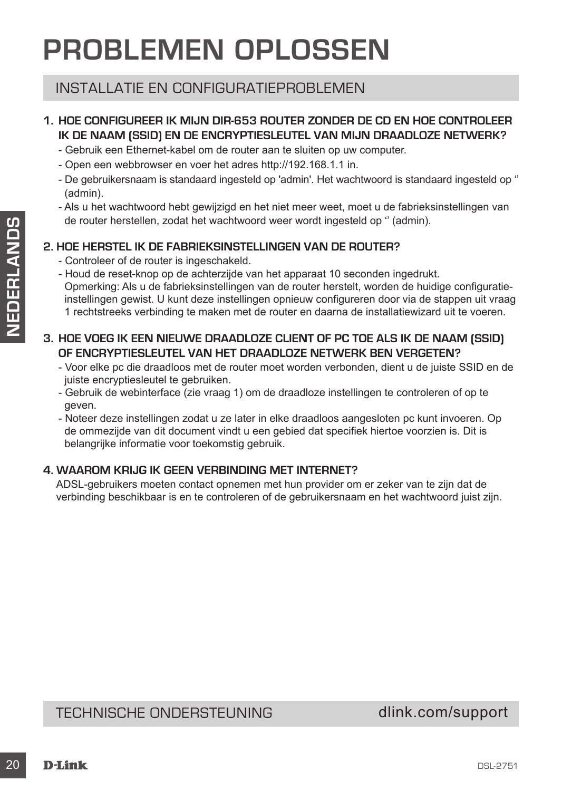## **PROBLEMEN OPLOSSEN**

## INSTALLATIE EN CONFIGURATIEPROBLEMEN

## **1. HOE CONFIGUREER IK MIJN DIR-653 ROUTER ZONDER DE CD EN HOE CONTROLEER IK DE NAAM (SSID) EN DE ENCRYPTIESLEUTEL VAN MIJN DRAADLOZE NETWERK?**

- Gebruik een Ethernet-kabel om de router aan te sluiten op uw computer.
- Open een webbrowser en voer het adres http://192.168.1.1 in.
- De gebruikersnaam is standaard ingesteld op 'admin'. Het wachtwoord is standaard ingesteld op '' (admin).
- Als u het wachtwoord hebt gewijzigd en het niet meer weet, moet u de fabrieksinstellingen van de router herstellen, zodat het wachtwoord weer wordt ingesteld op '' (admin).

## **2. HOE HERSTEL IK DE FABRIEKSINSTELLINGEN VAN DE ROUTER?**

- Controleer of de router is ingeschakeld.
- 20 De toute reartstellant, available twan whore wordt ingestied op " (admin).<br>
20 DE HERSTEL IK DE FABRIEKSINNSTELLINDEN VAN DE ROUTER?<br>
 Contradio reach-too to a saturization and the counter hard configuration.<br>
 Hour - Houd de reset-knop op de achterzijde van het apparaat 10 seconden ingedrukt. Opmerking: Als u de fabrieksinstellingen van de router herstelt, worden de huidige configuratieinstellingen gewist. U kunt deze instellingen opnieuw configureren door via de stappen uit vraag 1 rechtstreeks verbinding te maken met de router en daarna de installatiewizard uit te voeren.
	- **3. HOE VOEG IK EEN NIEUWE DRAADLOZE CLIENT OF PC TOE ALS IK DE NAAM (SSID) OF ENCRYPTIESLEUTEL VAN HET DRAADLOZE NETWERK BEN VERGETEN?**
		- Voor elke pc die draadloos met de router moet worden verbonden, dient u de juiste SSID en de juiste encryptiesleutel te gebruiken.
		- Gebruik de webinterface (zie vraag 1) om de draadloze instellingen te controleren of op te geven.
		- Noteer deze instellingen zodat u ze later in elke draadloos aangesloten pc kunt invoeren. Op de ommezijde van dit document vindt u een gebied dat specifiek hiertoe voorzien is. Dit is belangrijke informatie voor toekomstig gebruik.

## **4. WAAROM KRIJG IK GEEN VERBINDING MET INTERNET?**

ADSL-gebruikers moeten contact opnemen met hun provider om er zeker van te zijn dat de verbinding beschikbaar is en te controleren of de gebruikersnaam en het wachtwoord juist zijn.

## TECHNISCHE ONDERSTEUNING dlink.com/support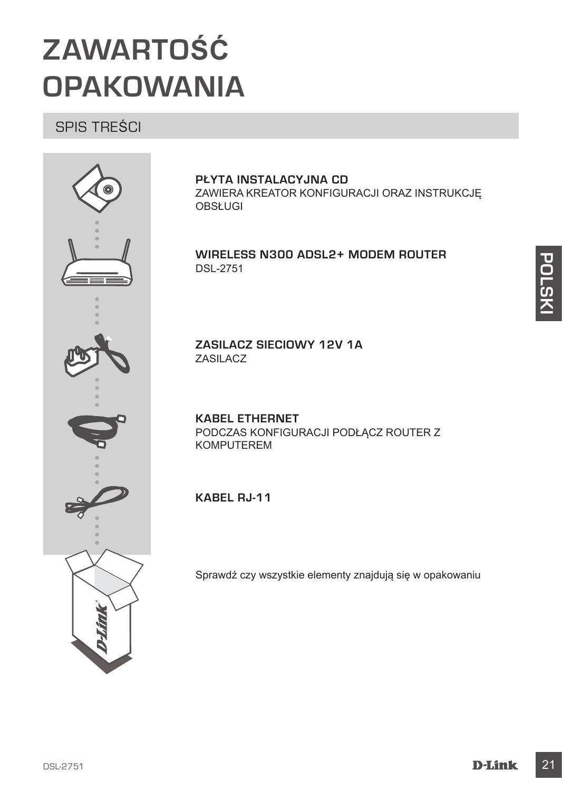## **ZAWARTOŚĆ OPAKOWANIA**

## SPIS TREŚCI



## **PŁYTA INSTALACYJNA CD**

ZAWIERA KREATOR KONFIGURACJI ORAZ INSTRUKCJĘ **OBSŁUGI** 

## **Wireless N300 ADSL2+ Modem Router** DSL-2751

**ZASILACZ SIECIOWY 12V 1A** ZASILACZ

**KABEL ETHERNET** PODCZAS KONFIGURACJI PODŁĄCZ ROUTER Z KOMPUTEREM

**Kabel RJ-11**

Sprawdź czy wszystkie elementy znajdują się w opakowaniu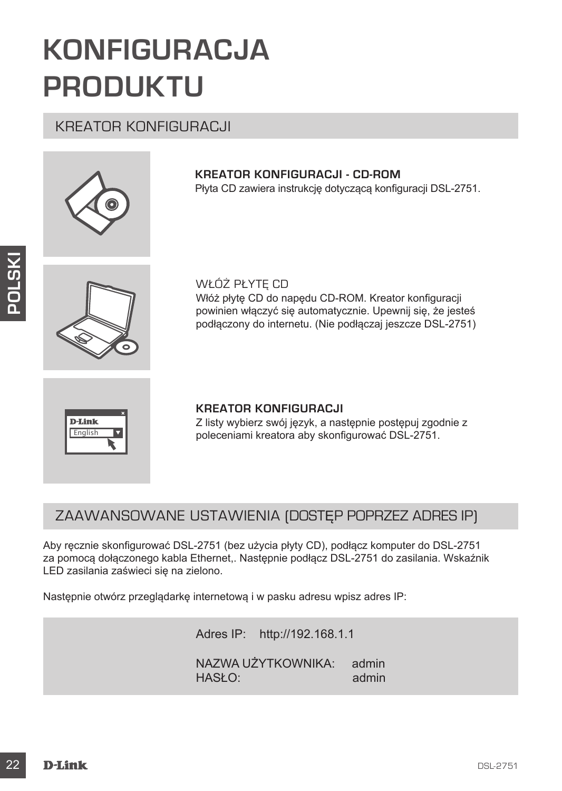## **KONFIGURACJA PRODUKTU**

## KREATOR KONFIGURACJI



## **KREATOR KONFIGURACJI - CD-ROM**

Płyta CD zawiera instrukcję dotyczącą konfiguracji DSL-2751.



WŁÓŻ PŁYTĘ CD Włóż płytę CD do napędu CD-ROM. Kreator konfiguracji powinien włączyć się automatycznie. Upewnij się, że jesteś podłączony do internetu. (Nie podłączaj jeszcze DSL-2751)



## **KREATOR KONFIGURACJI**

Z listy wybierz swój język, a następnie postępuj zgodnie z poleceniami kreatora aby skonfigurować DSL-2751.

## ZAAWANSOWANE USTAWIENIA (DOSTĘP POPRZEZ ADRES IP)

WEÓŻ PŁYTĘ CD<br>
WASZ pytę CD do napędu CD-ROM. Kreator konfiguracji<br>
powinien wiączyć się automatycznie. Upewnij się, że jesteś<br>
poddączony do internetu. (Nie podlącza jeszcze DSL-2751)<br>
POLANK<br>
Trajcan a podceniami kreator Aby ręcznie skonfigurować DSL-2751 (bez użycia płyty CD), podłącz komputer do DSL-2751 za pomocą dołączonego kabla Ethernet,. Następnie podłącz DSL-2751 do zasilania. Wskaźnik LED zasilania zaświeci się na zielono.

Następnie otwórz przeglądarkę internetową i w pasku adresu wpisz adres IP:

Adres IP: http://192.168.1.1 NAZWA UŻYTKOWNIKA: admin HASŁO: admin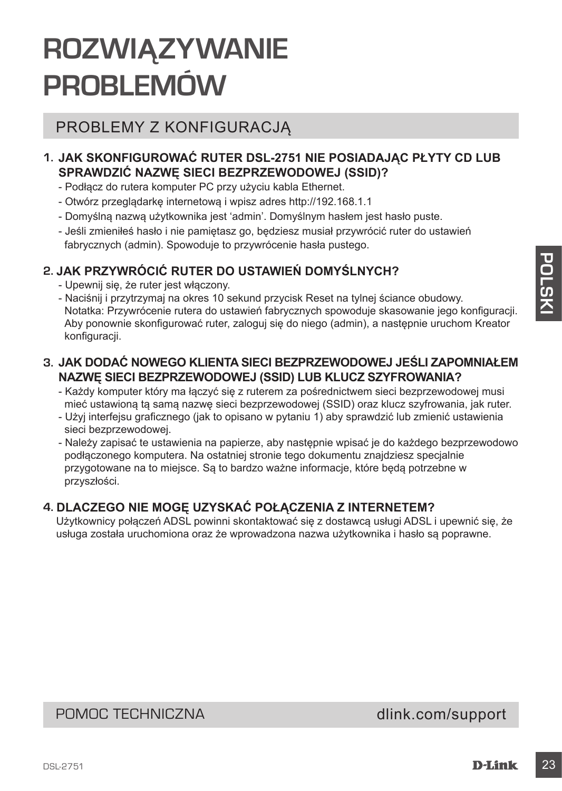## **ROZWIĄZYWANIE PROBLEMÓW**

## PROBLEMY Z KONFIGURACJĄ

## **1. JAK SKONFIGUROWAĆ RUTER DSL-2751 NIE POSIADAJĄC PŁYTY CD LUB SPRAWDZIĆ NAZWĘ SIECI BEZPRZEWODOWEJ (SSID)?**

- Podłącz do rutera komputer PC przy użyciu kabla Ethernet.
- Otwórz przeglądarkę internetową i wpisz adres http://192.168.1.1
- Domyślną nazwą użytkownika jest 'admin'. Domyślnym hasłem jest hasło puste.
- Jeśli zmieniłeś hasło i nie pamiętasz go, będziesz musiał przywrócić ruter do ustawień fabrycznych (admin). Spowoduje to przywrócenie hasła pustego.

## **2. JAK PRZYWRÓCIĆ RUTER DO USTAWIEŃ DOMYŚLNYCH?**

- Upewnij się, że ruter jest włączony.
- Naciśnij i przytrzymaj na okres 10 sekund przycisk Reset na tylnej ściance obudowy. Notatka: Przywrócenie rutera do ustawień fabrycznych spowoduje skasowanie jego konfiguracji. Aby ponownie skonfigurować ruter, zaloguj się do niego (admin), a następnie uruchom Kreator konfiguracji.

## **3. JAK DODAĆ NOWEGO KLIENTA SIECI BEZPRZEWODOWEJ JEŚLI ZAPOMNIAŁEM NAZWĘ SIECI BEZPRZEWODOWEJ (SSID) LUB KLUCZ SZYFROWANIA?**

- Każdy komputer który ma łączyć się z ruterem za pośrednictwem sieci bezprzewodowej musi mieć ustawioną tą samą nazwę sieci bezprzewodowej (SSID) oraz klucz szyfrowania, jak ruter.
- Użyj interfejsu graficznego (jak to opisano w pytaniu 1) aby sprawdzić lub zmienić ustawienia sieci bezprzewodowej.
- **2. JAK PRZYWRÓCIĆ RUTER DO USTAWIEŃ DOMYŚLNYCH?**<br>
 Upewnij się, że nuter jest wiączony, spacinal przycisk Reset na lytnej ściance obudowy.<br>
 Naciśnij i przytrzymaj na okres 10 sekund przycisk Reset na lytnej ściance obu - Należy zapisać te ustawienia na papierze, aby następnie wpisać je do każdego bezprzewodowo podłączonego komputera. Na ostatniej stronie tego dokumentu znajdziesz specjalnie przygotowane na to miejsce. Są to bardzo ważne informacje, które będą potrzebne w przyszłości.

## **4. DLACZEGO NIE MOGĘ UZYSKAĆ POŁĄCZENIA Z INTERNETEM?**

Użytkownicy połączeń ADSL powinni skontaktować się z dostawcą usługi ADSL i upewnić się, że usługa została uruchomiona oraz że wprowadzona nazwa użytkownika i hasło są poprawne.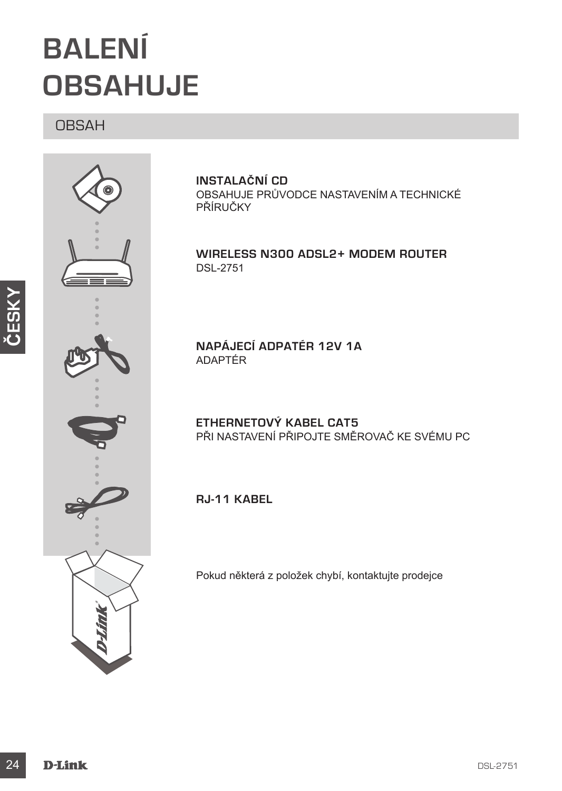## **BALENÍ OBSAHUJE**

## OBSAH



**INSTALAČNÍ CD**  OBSAHUJE PRŮVODCE NASTAVENÍM A TECHNICKÉ PŘÍRUČKY

**Wireless N300 ADSL2+ Modem Router** DSL-2751

**NAPÁJECÍ ADPATÉR 12V 1A** ADAPTÉR

**ETHERNETOVÝ KABEL CAT5**  PŘI NASTAVENÍ PŘIPOJTE SMĚROVAČ KE SVÉMU PC

**RJ-11 kabel** 

Pokud některá z položek chybí, kontaktujte prodejce

**ČESKY**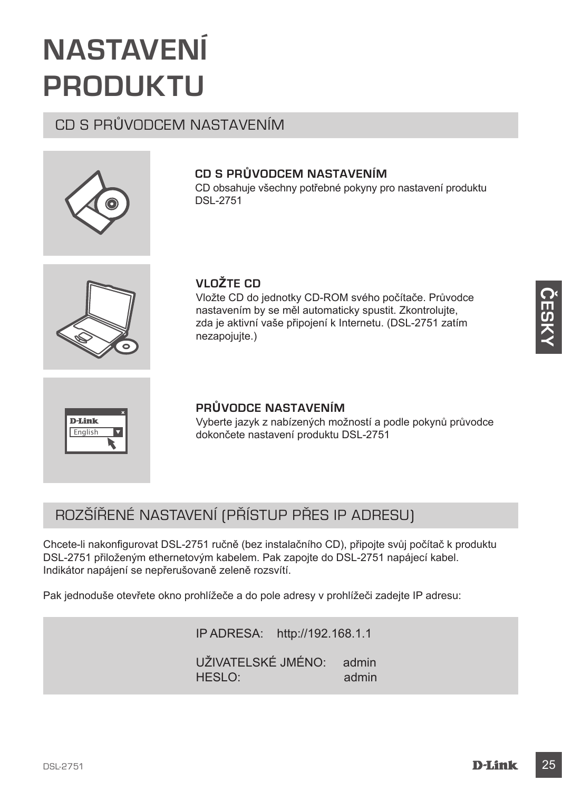## **NASTAVENÍ PRODUKTU**

## CD S PRŮVODCEM NASTAVENÍM

## **CD S PRŮVODCEM NASTAVENÍM**

CD obsahuje všechny potřebné pokyny pro nastavení produktu DSL-2751



## **VLOŽTE CD**

Vložte CD do jednotky CD-ROM svého počítače. Průvodce nastavením by se měl automaticky spustit. Zkontrolujte, zda je aktivní vaše připojení k Internetu. (DSL-2751 zatím nezapojujte.)



### **PRŮVODCE NASTAVENÍM**

Vyberte jazyk z nabízených možností a podle pokynů průvodce dokončete nastavení produktu DSL-2751

## ROZŠÍŘENÉ NASTAVENÍ (PŘÍSTUP PŘES IP ADRESU)

Chcete-li nakonfigurovat DSL-2751 ručně (bez instalačního CD), připojte svůj počítač k produktu DSL-2751 přiloženým ethernetovým kabelem. Pak zapojte do DSL-2751 napájecí kabel. Indikátor napájení se nepřerušovaně zeleně rozsvítí.

Pak jednoduše otevřete okno prohlížeče a do pole adresy v prohlížeči zadejte IP adresu:

IP ADRESA: http://192.168.1.1 UŽIVATELSKÉ JMÉNO: admin<br>HESLO: admin HESLO: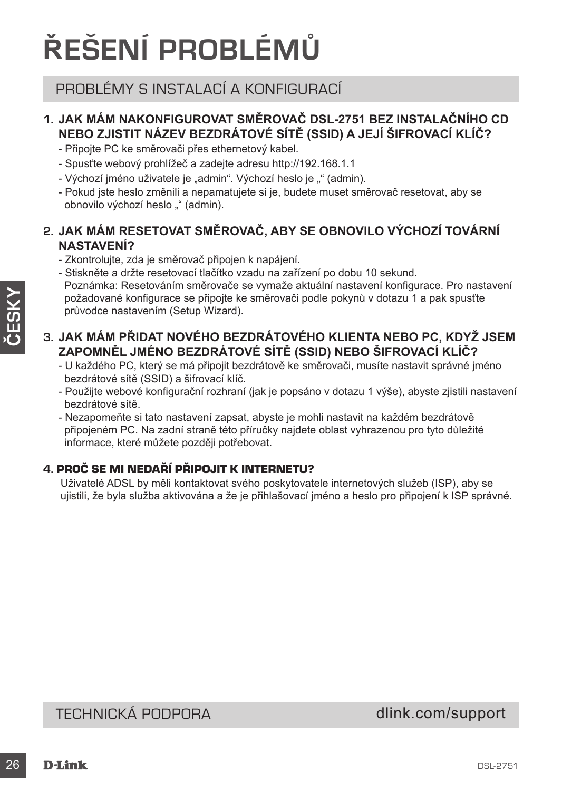## **ŘEŠENÍ PROBLÉMŮ**

## PROBLÉMY S INSTALACÍ A KONFIGURACÍ

## **1. JAK MÁM NAKONFIGUROVAT SMĚROVAČ DSL-2751 BEZ INSTALAČNÍHO CD NEBO ZJISTIT NÁZEV BEZDRÁTOVÉ SÍTĚ (SSID) A JEJÍ ŠIFROVACÍ KLÍČ?**

- Připojte PC ke směrovači přes ethernetový kabel.
- Spusťte webový prohlížeč a zadejte adresu http://192.168.1.1
- Výchozí jméno uživatele je "admin". Výchozí heslo je "" (admin).
- Pokud jste heslo změnili a nepamatujete si je, budete muset směrovač resetovat, aby se obnovilo výchozí heslo "" (admin).

## **2. JAK MÁM RESETOVAT SMĚROVAČ, ABY SE OBNOVILO VÝCHOZÍ TOVÁRNÍ NASTAVENÍ?**

- Zkontrolujte, zda je směrovač připojen k napájení.
- Stiskněte a držte resetovací tlačítko vzadu na zařízení po dobu 10 sekund. Poznámka: Resetováním směrovače se vymaže aktuální nastavení konfigurace. Pro nastavení požadované konfigurace se připojte ke směrovači podle pokynů v dotazu 1 a pak spusťte průvodce nastavením (Setup Wizard).

## **3. JAK MÁM PŘIDAT NOVÉHO BEZDRÁTOVÉHO KLIENTA NEBO PC, KDYŽ JSEM ZAPOMNĚL JMÉNO BEZDRÁTOVÉ SÍTĚ (SSID) NEBO ŠIFROVACÍ KLÍČ?**

- U každého PC, který se má připojit bezdrátově ke směrovači, musíte nastavit správné jméno bezdrátové sítě (SSID) a šifrovací klíč.
- Použijte webové konfigurační rozhraní (jak je popsáno v dotazu 1 výše), abyste zjistili nastavení bezdrátové sítě.
- Nezapomeňte si tato nastavení zapsat, abyste je mohli nastavit na každém bezdrátově připojeném PC. Na zadní straně této příručky najdete oblast vyhrazenou pro tyto důležité informace, které můžete později potřebovat.

## **4.** PROČ SE MI NEDAŘÍ PŘIPOJIT K INTERNETU?

Uživatelé ADSL by měli kontaktovat svého poskytovatele internetových služeb (ISP), aby se ujistili, že byla služba aktivována a že je přihlašovací jméno a heslo pro připojení k ISP správné.

TECHNICKÁ PODPORA dlink.com/support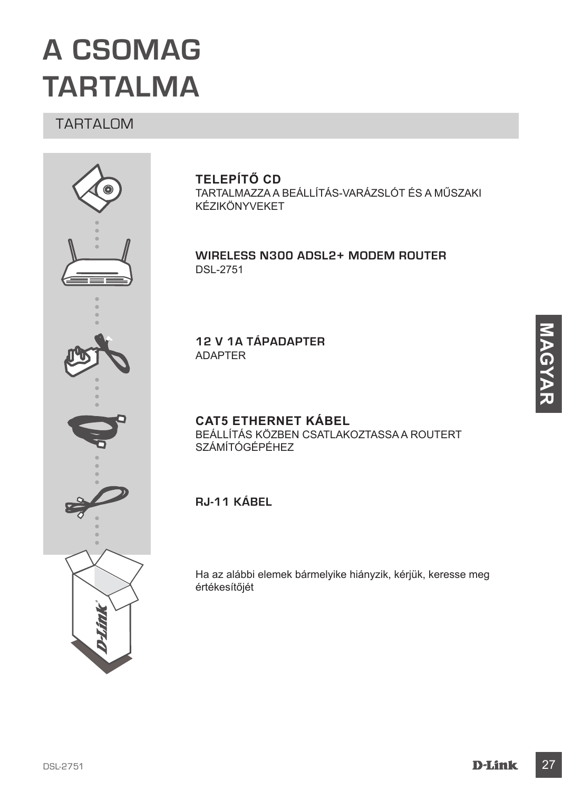## **A CSOMAG TARTALMA**

## TARTALOM



## **TELEPÍTŐ CD**

TARTALMAZZA A BEÁLLÍTÁS-VARÁZSLÓT ÉS A MŰSZAKI KÉZIKÖNYVEKET

**Wireless N300 ADSL2+ Modem Router** DSL-2751

**12 V 1A TÁPADAPTER** ADAPTER

**CAT5 ETHERNET KÁBEL** BEÁLLÍTÁS KÖZBEN CSATLAKOZTASSA A ROUTERT SZÁMÍTÓGÉPÉHEZ

**RJ-11 kábel**

Ha az alábbi elemek bármelyike hiányzik, kérjük, keresse meg értékesítőjét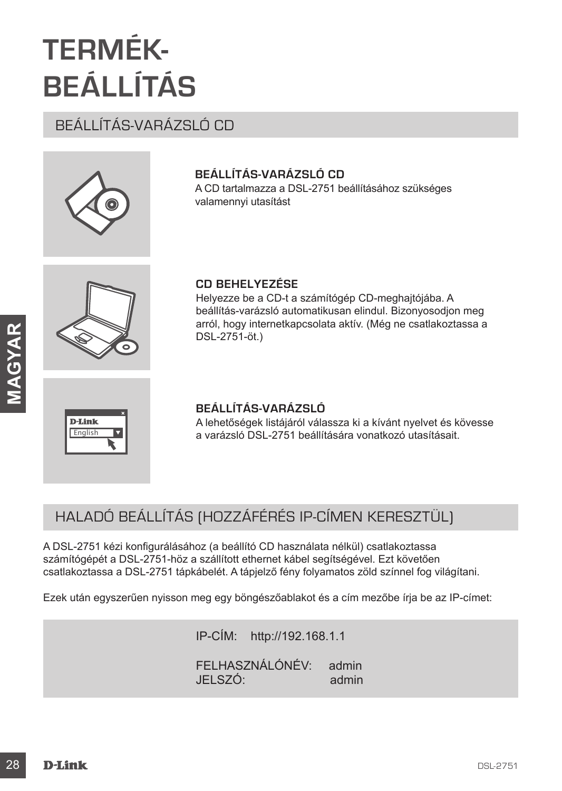## **TERMÉK-BEÁLLÍTÁS**

## BEÁLLÍTÁS-VARÁZSLÓ CD



## **BEÁLLÍTÁS-VARÁZSLÓ CD**

A CD tartalmazza a DSL-2751 beállításához szükséges valamennyi utasítást



## **CD BEHELYEZÉSE**

Helyezze be a CD-t a számítógép CD-meghajtójába. A beállítás-varázsló automatikusan elindul. Bizonyosodjon meg arról, hogy internetkapcsolata aktív. (Még ne csatlakoztassa a DSL-2751-öt.)



## **BEÁLLÍTÁS-VARÁZSLÓ**

A lehetőségek listájáról válassza ki a kívánt nyelvet és kövesse a varázsló DSL-2751 beállítására vonatkozó utasításait.

## HALADÓ BEÁLLÍTÁS (HOZZÁFÉRÉS IP-CÍMEN KERESZTÜL)

IDSL-2751 **Advertises**<br>
DSL-2751-ot.)<br> **EEÁLLÍTÁS-VARÁZSLÓ**<br>
Advertisesgek istáláról válassza ki a kívánt nyelvel és kövesse<br>
Advertisesgek istáláról válassza ki a kívánt nyelvel és kövesse<br>
Advertisesgek istálározt a beá A DSL-2751 kézi konfigurálásához (a beállító CD használata nélkül) csatlakoztassa számítógépét a DSL-2751-höz a szállított ethernet kábel segítségével. Ezt követően csatlakoztassa a DSL-2751 tápkábelét. A tápjelző fény folyamatos zöld színnel fog világítani.

Ezek után egyszerűen nyisson meg egy böngészőablakot és a cím mezőbe írja be az IP-címet:

IP-CÍM: http://192.168.1.1 FELHASZNÁLÓNÉV: admin JELSZÓ: admin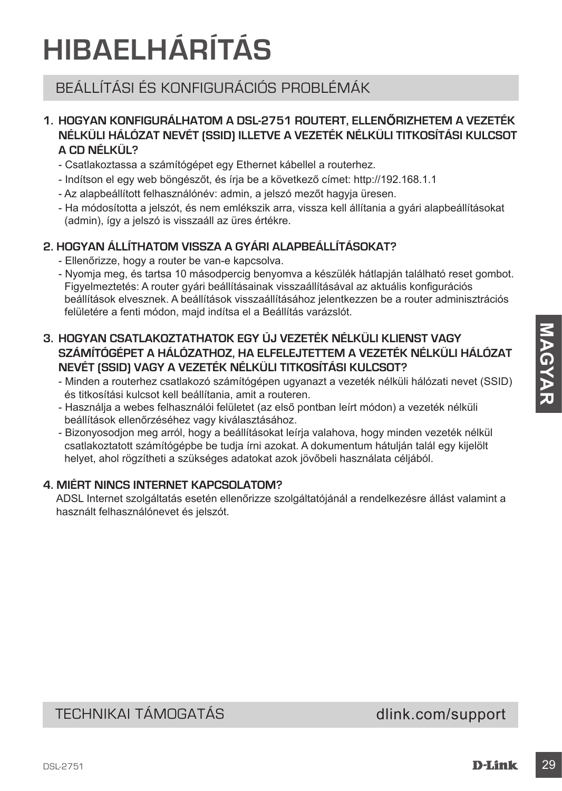## **HIBAELHÁRÍTÁS**

## BEÁLLÍTÁSI ÉS KONFIGURÁCIÓS PROBLÉMÁK

## **1. HOGYAN KONFIGURÁLHATOM A DSL-2751 ROUTERT, ELLENŐRIZHETEM A VEZETÉK NÉLKÜLI HÁLÓZAT NEVÉT (SSID) ILLETVE A VEZETÉK NÉLKÜLI TITKOSÍTÁSI KULCSOT A CD NÉLKÜL?**

- Csatlakoztassa a számítógépet egy Ethernet kábellel a routerhez.
- Indítson el egy web böngészőt, és írja be a következő címet: http://192.168.1.1
- Az alapbeállított felhasználónév: admin, a jelszó mezőt hagyja üresen.
- Ha módosította a jelszót, és nem emlékszik arra, vissza kell állítania a gyári alapbeállításokat (admin), így a jelszó is visszaáll az üres értékre.

## **2. HOGYAN ÁLLÍTHATOM VISSZA A GYÁRI ALAPBEÁLLÍTÁSOKAT?**

- Ellenőrizze, hogy a router be van-e kapcsolva.
- Nyomja meg, és tartsa 10 másodpercig benyomva a készülék hátlapján található reset gombot. Figyelmeztetés: A router gyári beállításainak visszaállításával az aktuális konfigurációs beállítások elvesznek. A beállítások visszaállításához jelentkezzen be a router adminisztrációs felületére a fenti módon, majd indítsa el a Beállítás varázslót.
- 3. HOGYAN CSATLAKOZTATHATOK EGY ÚJ VEZETÉK NÉLKÜLI KLIENST VAGY<br>
SZÁMÍTÓGÉPET A HÁLÓZATHOZ, HA ELFELUTITTEM A VEZETÉK NÉLKÜLI TITALOSTAT<br>
NIME MENCI HÁLÓZATHOZ, HA ELFELUTITEM MÉLKÜLI TITKOSÍTÁSI KULCSOT?<br>
 Minden a rout **3. HOGYAN CSATLAKOZTATHATOK EGY ÚJ VEZETÉK NÉLKÜLI KLIENST VAGY SZÁMÍTÓGÉPET A HÁLÓZATHOZ, HA ELFELEJTETTEM A VEZETÉK NÉLKÜLI HÁLÓZAT NEVÉT (SSID) VAGY A VEZETÉK NÉLKÜLI TITKOSÍTÁSI KULCSOT?**
	- Minden a routerhez csatlakozó számítógépen ugyanazt a vezeték nélküli hálózati nevet (SSID) és titkosítási kulcsot kell beállítania, amit a routeren.
	- Használja a webes felhasználói felületet (az első pontban leírt módon) a vezeték nélküli beállítások ellenőrzéséhez vagy kiválasztásához.
	- Bizonyosodjon meg arról, hogy a beállításokat leírja valahova, hogy minden vezeték nélkül csatlakoztatott számítógépbe be tudja írni azokat. A dokumentum hátulján talál egy kijelölt helyet, ahol rögzítheti a szükséges adatokat azok jövőbeli használata céljából.

## **4. MIÉRT NINCS INTERNET KAPCSOLATOM?**

ADSL Internet szolgáltatás esetén ellenőrizze szolgáltatójánál a rendelkezésre állást valamint a használt felhasználónevet és jelszót.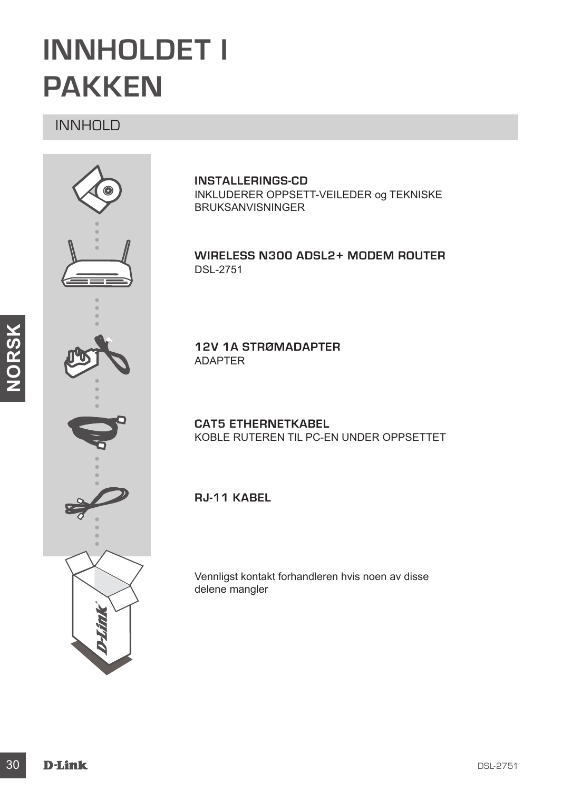## **INNHOLDET I PAKKEN**

## INNHOLD



**INSTALLERINGS-CD**  INKLUDERER OPPSETT-VEILEDER og TEKNISKE BRUKSANVISNINGER

**Wireless N300 ADSL2+ Modem Router** DSL-2751

**12V 1A STRØMADAPTER** ADAPTER

**CAT5 ETHERNETKABEL** KOBLE RUTEREN TIL PC-EN UNDER OPPSETTET

**RJ-11 kabel**

Vennligst kontakt forhandleren hvis noen av disse delene mangler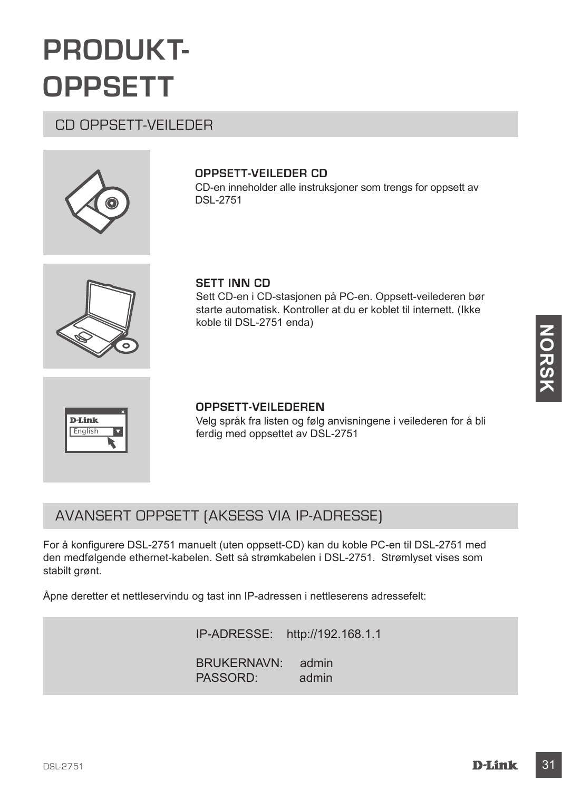## **PRODUKT-OPPSETT**

## CD OPPSETT-VEILEDER



## **OPPSETT-VEILEDER CD**

CD-en inneholder alle instruksjoner som trengs for oppsett av DSL-2751



### **SETT INN CD**

Sett CD-en i CD-stasjonen på PC-en. Oppsett-veilederen bør starte automatisk. Kontroller at du er koblet til internett. (Ikke koble til DSL-2751 enda)



### **OPPSETT-VEILEDEREN**

Velg språk fra listen og følg anvisningene i veilederen for å bli ferdig med oppsettet av DSL-2751

## AVANSERT OPPSETT (AKSESS VIA IP-ADRESSE)

**Example 18 CONSERVED ASSESS CONSERVED ASSESS CONSERVED AND MANUSCRIPT OPPSETT-VELLEDEREN**<br>
Velg språk fra listen og følg anvisningene i veliederen for å bli<br>
ferdig med oppsettet av DSL-2751<br>
For a konfigurere DSL-2751 ma For å konfigurere DSL-2751 manuelt (uten oppsett-CD) kan du koble PC-en til DSL-2751 med den medfølgende ethernet-kabelen. Sett så strømkabelen i DSL-2751. Strømlyset vises som stabilt grønt.

Åpne deretter et nettleservindu og tast inn IP-adressen i nettleserens adressefelt:

IP-ADRESSE: http://192.168.1.1 BRUKERNAVN: admin PASSORD: admin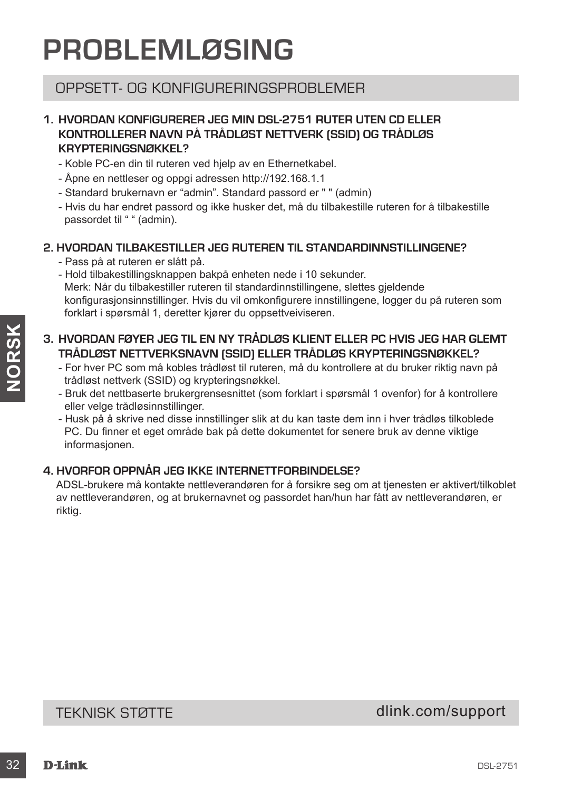## **PROBLEMLØSING**

## OPPSETT- OG KONFIGLIBERINGSPROBLEMER

## **1. HVORDAN KONFIGURERER JEG MIN DSL-2751 RUTER UTEN CD ELLER KONTROLLERER NAVN PÅ TRÅDLØST NETTVERK (SSID) OG TRÅDLØS KRYPTERINGSNØKKEL?**

- Koble PC-en din til ruteren ved hjelp av en Ethernetkabel.
- Åpne en nettleser og oppgi adressen http://192.168.1.1
- Standard brukernavn er "admin". Standard passord er " " (admin)
- Hvis du har endret passord og ikke husker det, må du tilbakestille ruteren for å tilbakestille passordet til " " (admin).

## **2. HVORDAN TILBAKESTILLER JEG RUTEREN TIL STANDARDINNSTILLINGENE?**

- Pass på at ruteren er slått på.
- Hold tilbakestillingsknappen bakpå enheten nede i 10 sekunder. Merk: Når du tilbakestiller ruteren til standardinnstillingene, slettes gjeldende konfigurasjonsinnstillinger. Hvis du vil omkonfigurere innstillingene, logger du på ruteren som forklart i spørsmål 1, deretter kjører du oppsettveiviseren.

## **3. HVORDAN FØYER JEG TIL EN NY TRÅDLØS KLIENT ELLER PC HVIS JEG HAR GLEMT TRÅDLØST NETTVERKSNAVN (SSID) ELLER TRÅDLØS KRYPTERINGSNØKKEL?**

- For hver PC som må kobles trådløst til ruteren, må du kontrollere at du bruker riktig navn på trådløst nettverk (SSID) og krypteringsnøkkel.
- Bruk det nettbaserte brukergrensesnittet (som forklart i spørsmål 1 ovenfor) for å kontrollere eller velge trådløsinnstillinger.
- Husk på å skrive ned disse innstillinger slik at du kan taste dem inn i hver trådløs tilkoblede PC. Du finner et eget område bak på dette dokumentet for senere bruk av denne viktige informasjonen.

## **4. HVORFOR OPPNÅR JEG IKKE INTERNETTFORBINDELSE?**

3. HVORDAN FØYER JEG TIL EN NY TRÅDLØS KLIENT ELLER PC HVIS JEG HAR GLEMT<br>
TRADLØST NETTVERKSNAVN (SSID) ELLER TRADLØS KRYPTERINGSNØKKEL?<br>
For hver PC som må kobles tradistati til ruteren, må du kontrollere at du bruker it ADSL-brukere må kontakte nettleverandøren for å forsikre seg om at tjenesten er aktivert/tilkoblet av nettleverandøren, og at brukernavnet og passordet han/hun har fått av nettleverandøren, er riktig.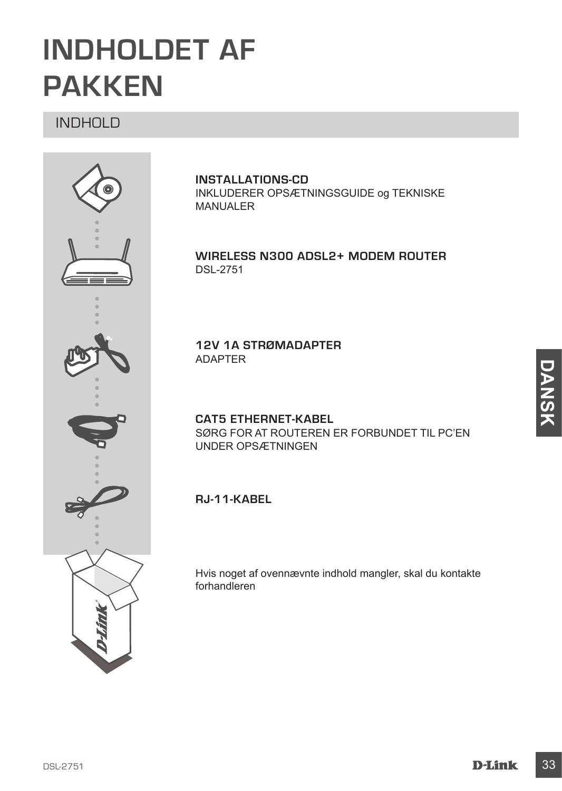## **INDHOLDET AF PAKKEN**

## INDHOLD



**INSTALLATIONS-CD** INKLUDERER OPSÆTNINGSGUIDE og TEKNISKE MANUALER

**Wireless N300 ADSL2+ Modem Router** DSL-2751

**12V 1A STRØMADAPTER** ADAPTER

**CAT5 ETHERNET-KABEL** SØRG FOR AT ROUTEREN ER FORBUNDET TIL PC'EN UNDER OPSÆTNINGEN

**RJ-11-kabel**

Hvis noget af ovennævnte indhold mangler, skal du kontakte forhandleren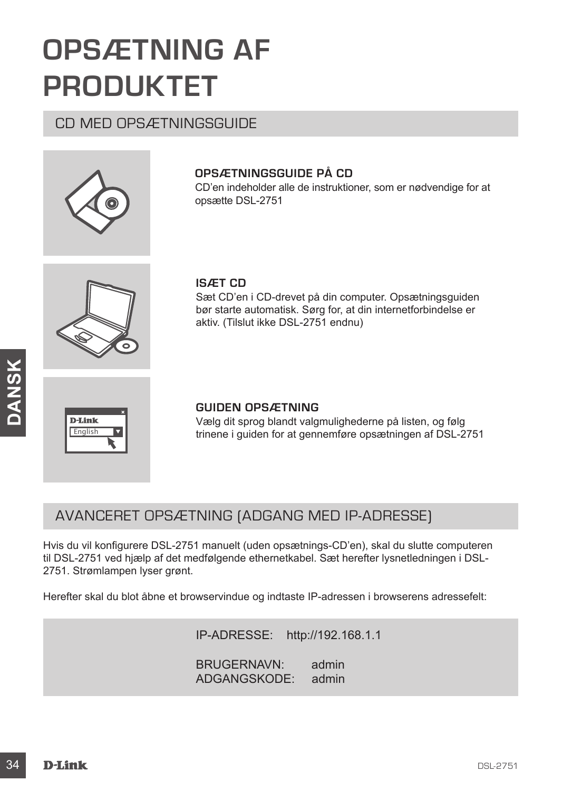## **OPSÆTNING AF PRODUKTET**

CD MED OPSÆTNINGSGUIDE



## **OPSÆTNINGSGUIDE PÅ CD**

CD'en indeholder alle de instruktioner, som er nødvendige for at opsætte DSL-2751



### **ISÆT CD**

Sæt CD'en i CD-drevet på din computer. Opsætningsguiden bør starte automatisk. Sørg for, at din internetforbindelse er aktiv. (Tilslut ikke DSL-2751 endnu)



### **GUIDEN OPSÆTNING**

Vælg dit sprog blandt valgmulighederne på listen, og følg trinene i guiden for at gennemføre opsætningen af DSL-2751

## AVANCERET OPSÆTNING (ADGANG MED IP-ADRESSE)

**34**<br> **346**<br> **349**<br> **349**<br> **349**<br> **349**<br> **349**<br> **349**<br> **349**<br> **349**<br> **349**<br> **349**<br> **349**<br> **349**<br> **349**<br> **349**<br> **1054.2751 considering in 258.4 considering in 258.4 computere DSL-2751 consider and the distribution of the st** Hvis du vil konfigurere DSL-2751 manuelt (uden opsætnings-CD'en), skal du slutte computeren til DSL-2751 ved hjælp af det medfølgende ethernetkabel. Sæt herefter lysnetledningen i DSL-2751. Strømlampen lyser grønt.

Herefter skal du blot åbne et browservindue og indtaste IP-adressen i browserens adressefelt:

IP-ADRESSE: http://192.168.1.1

BRUGERNAVN: admin ADGANGSKODE: admin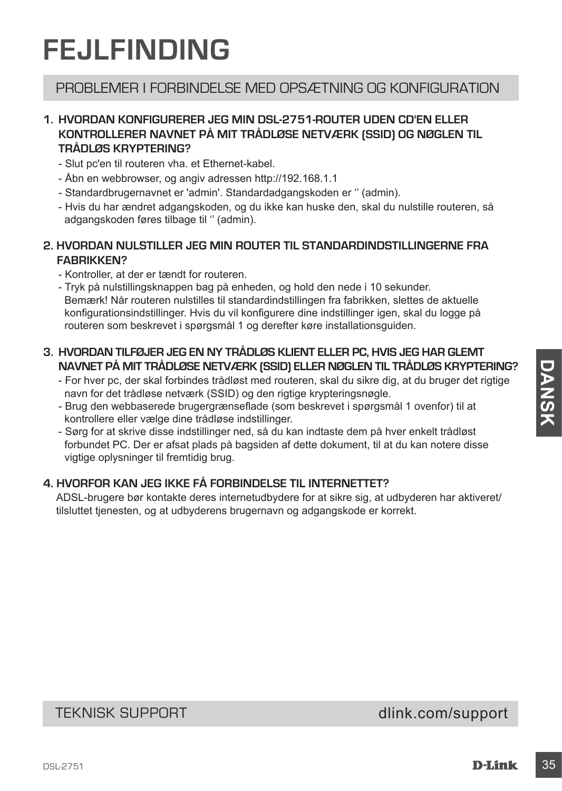## **FEJLFINDING**

## PROBLEMER I FORBINDELSE MED OPSÆTNING OG KONFIGURATION

## **1. HVORDAN KONFIGURERER JEG MIN DSL-2751-ROUTER UDEN CD'EN ELLER KONTROLLERER NAVNET PÅ MIT TRÅDLØSE NETVÆRK (SSID) OG NØGLEN TIL TRÅDLØS KRYPTERING?**

- Slut pc'en til routeren vha. et Ethernet-kabel.
- Åbn en webbrowser, og angiv adressen http://192.168.1.1
- Standardbrugernavnet er 'admin'. Standardadgangskoden er '' (admin).
- Hvis du har ændret adgangskoden, og du ikke kan huske den, skal du nulstille routeren, så adgangskoden føres tilbage til '' (admin).

## **2. HVORDAN NULSTILLER JEG MIN ROUTER TIL STANDARDINDSTILLINGERNE FRA FABRIKKEN?**

- Kontroller, at der er tændt for routeren.
- Tryk på nulstillingsknappen bag på enheden, og hold den nede i 10 sekunder. Bemærk! Når routeren nulstilles til standardindstillingen fra fabrikken, slettes de aktuelle konfigurationsindstillinger. Hvis du vil konfigurere dine indstillinger igen, skal du logge på routeren som beskrevet i spørgsmål 1 og derefter køre installationsguiden.

## **3. HVORDAN TILFØJER JEG EN NY TRÅDLØS KLIENT ELLER PC, HVIS JEG HAR GLEMT NAVNET PÅ MIT TRÅDLØSE NETVÆRK (SSID) ELLER NØGLEN TIL TRÅDLØS KRYPTERING?**

- For hver pc, der skal forbindes trådløst med routeren, skal du sikre dig, at du bruger det rigtige navn for det trådløse netværk (SSID) og den rigtige krypteringsnøgle.
- Brug den webbaserede brugergrænseflade (som beskrevet i spørgsmål 1 ovenfor) til at kontrollere eller vælge dine trådløse indstillinger.
- NAMPET PAINT TRADLESE INEWERK (SSID) ELLER NOGLEN TIL TRADLEDS KRYPTERING?<br>
For hver pc, der skal forbindes relates that distinct and the distinct digit.<br>
The distinct and the distinct (SSID) og den rigidige krypteringsnag - Sørg for at skrive disse indstillinger ned, så du kan indtaste dem på hver enkelt trådløst forbundet PC. Der er afsat plads på bagsiden af dette dokument, til at du kan notere disse vigtige oplysninger til fremtidig brug.

## **4. HVORFOR KAN JEG IKKE FÅ FORBINDELSE TIL INTERNETTET?**

ADSL-brugere bør kontakte deres internetudbydere for at sikre sig, at udbyderen har aktiveret/ tilsluttet tjenesten, og at udbyderens brugernavn og adgangskode er korrekt.

## TEKNISK SUPPORT dlink.com/support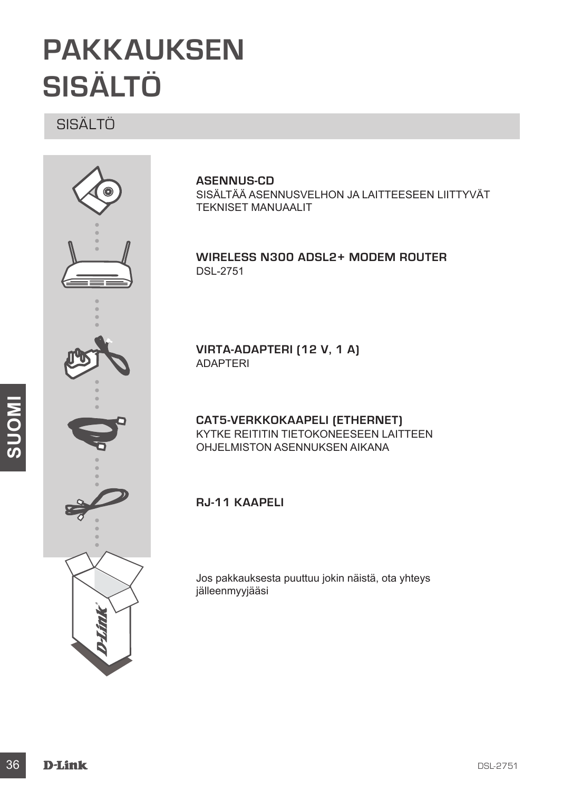## **PAKKAUKSEN SISÄLTÖ**

SISÄLTÖ



### **ASENNUS-CD**

SISÄLTÄÄ ASENNUSVELHON JA LAITTEESEEN LIITTYVÄT TEKNISET MANUAALIT

### **Wireless N300 ADSL2+ Modem Router** DSL-2751

**VIRTA-ADAPTERI (12 V, 1 A)**  ADAPTERI

**CAT5-VERKKOKAAPELI (ETHERNET)** KYTKE REITITIN TIETOKONEESEEN LAITTEEN OHJELMISTON ASENNUKSEN AIKANA

**RJ-11 kaapeli**

Jos pakkauksesta puuttuu jokin näistä, ota yhteys jälleenmyyjääsi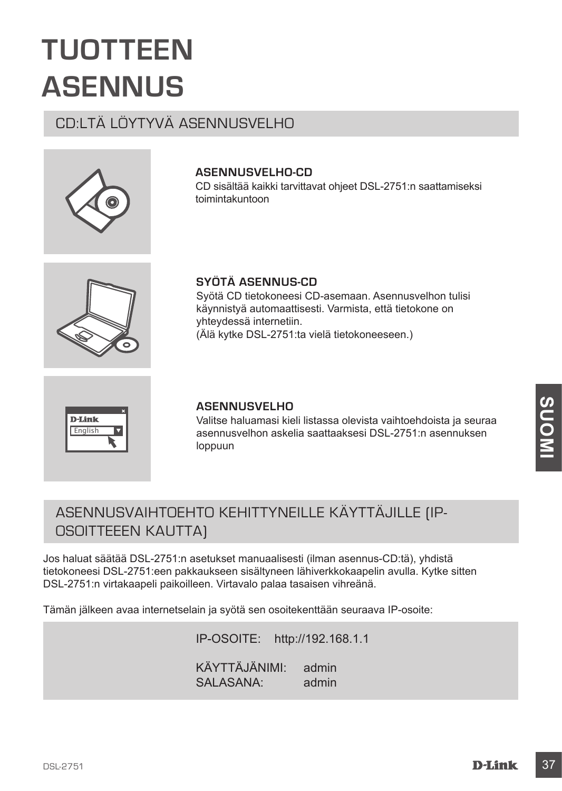## **TUOTTEEN ASENNUS**

## CD:LTÄ LÖYTYVÄ ASENNUSVELHO



## **ASENNUSVELHO-CD**

**SYÖTÄ ASENNUS-CD** 

yhteydessä internetiin.

CD sisältää kaikki tarvittavat ohjeet DSL-2751:n saattamiseksi toimintakuntoon

Syötä CD tietokoneesi CD-asemaan. Asennusvelhon tulisi käynnistyä automaattisesti. Varmista, että tietokone on

(Älä kytke DSL-2751:ta vielä tietokoneeseen.)



**English** 

### **ASENNUSVELHO**

Valitse haluamasi kieli listassa olevista vaihtoehdoista ja seuraa asennusvelhon askelia saattaaksesi DSL-2751:n asennuksen loppuun

## ASENNUSVAIHTOEHTO KEHITTYNEILLE KÄYTTÄJILLE (IP-OSOITTEEEN KAUTTA)

**ASENNUSVELHO**<br>
Valitse haluamasi kieli listassa olevista vaihtoehdoista ja seuraa<br>
asennusvelhon askeila saattaaksesi DSL-2751:n asennuksen<br>
loppuun<br>
ASENNUSVAIHTOEHTO KEHITTYNEILLE KÄYTTÄJILLE [IP-<br>
OSOITTEEEN KAUTTA]<br>
J Jos haluat säätää DSL-2751:n asetukset manuaalisesti (ilman asennus-CD:tä), yhdistä tietokoneesi DSL-2751:een pakkaukseen sisältyneen lähiverkkokaapelin avulla. Kytke sitten DSL-2751:n virtakaapeli paikoilleen. Virtavalo palaa tasaisen vihreänä.

Tämän jälkeen avaa internetselain ja syötä sen osoitekenttään seuraava IP-osoite:

IP-OSOITE: http://192.168.1.1 KÄYTTÄJÄNIMI: admin SALASANA: admin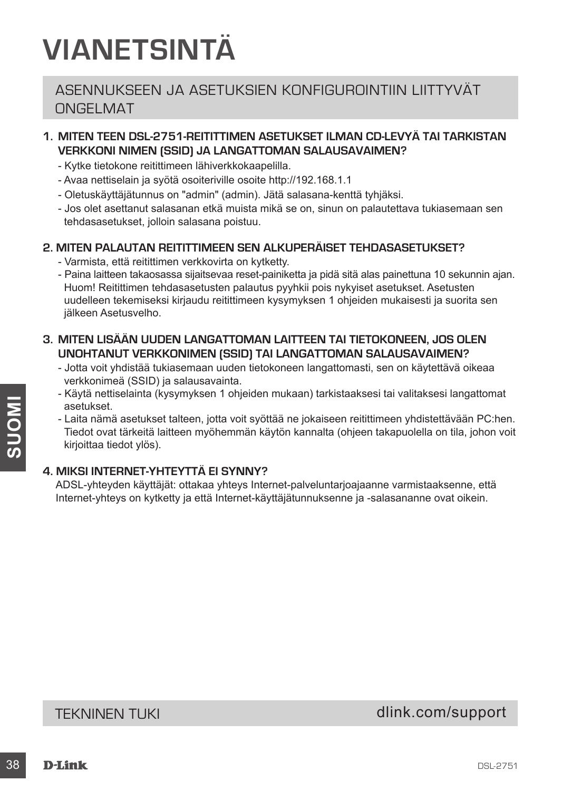## **VIANETSINTÄ**

## ASENNUKSEEN JA ASETUKSIEN KONFIGUROINTIIN LIITTYVÄT ONGELMAT

## **1. MITEN TEEN DSL-2751-REITITTIMEN ASETUKSET ILMAN CD-LEVYÄ TAI TARKISTAN VERKKONI NIMEN (SSID) JA LANGATTOMAN SALAUSAVAIMEN?**

- Kytke tietokone reitittimeen lähiverkkokaapelilla.
- Avaa nettiselain ja syötä osoiteriville osoite http://192.168.1.1
- Oletuskäyttäjätunnus on "admin" (admin). Jätä salasana-kenttä tyhjäksi.
- Jos olet asettanut salasanan etkä muista mikä se on, sinun on palautettava tukiasemaan sen tehdasasetukset, jolloin salasana poistuu.

### **2. MITEN PALAUTAN REITITTIMEEN SEN ALKUPERÄISET TEHDASASETUKSET?**

- Varmista, että reitittimen verkkovirta on kytketty.
- Paina laitteen takaosassa sijaitsevaa reset-painiketta ja pidä sitä alas painettuna 10 sekunnin ajan. Huom! Reitittimen tehdasasetusten palautus pyyhkii pois nykyiset asetukset. Asetusten uudelleen tekemiseksi kirjaudu reitittimeen kysymyksen 1 ohjeiden mukaisesti ja suorita sen jälkeen Asetusvelho.
- **3. MITEN LISÄÄN UUDEN LANGATTOMAN LAITTEEN TAI TIETOKONEEN, JOS OLEN UNOHTANUT VERKKONIMEN (SSID) TAI LANGATTOMAN SALAUSAVAIMEN?**
	- Jotta voit yhdistää tukiasemaan uuden tietokoneen langattomasti, sen on käytettävä oikeaa verkkonimeä (SSID) ja salausavainta.
	- Käytä nettiselainta (kysymyksen 1 ohjeiden mukaan) tarkistaaksesi tai valitaksesi langattomat asetukset.
- Seetukset talteen, jotta voit syöttää ne jokaiseen relittimeen yhdistettävään PC:hen.<br>
1 Eidän dmä asetukset talteen myöhemmän käytön kannalta (ohjeen takapuolella on tila, johon voit<br>
1 Eidön ovat tärkeitä laittieen myöhe - Laita nämä asetukset talteen, jotta voit syöttää ne jokaiseen reitittimeen yhdistettävään PC:hen. Tiedot ovat tärkeitä laitteen myöhemmän käytön kannalta (ohjeen takapuolella on tila, johon voit kirjoittaa tiedot ylös).

## **4. MIKSI INTERNET-YHTEYTTÄ EI SYNNY?**

ADSL-yhteyden käyttäjät: ottakaa yhteys Internet-palveluntarjoajaanne varmistaaksenne, että Internet-yhteys on kytketty ja että Internet-käyttäjätunnuksenne ja -salasananne ovat oikein.

TEKNINEN TUKI dink.com/support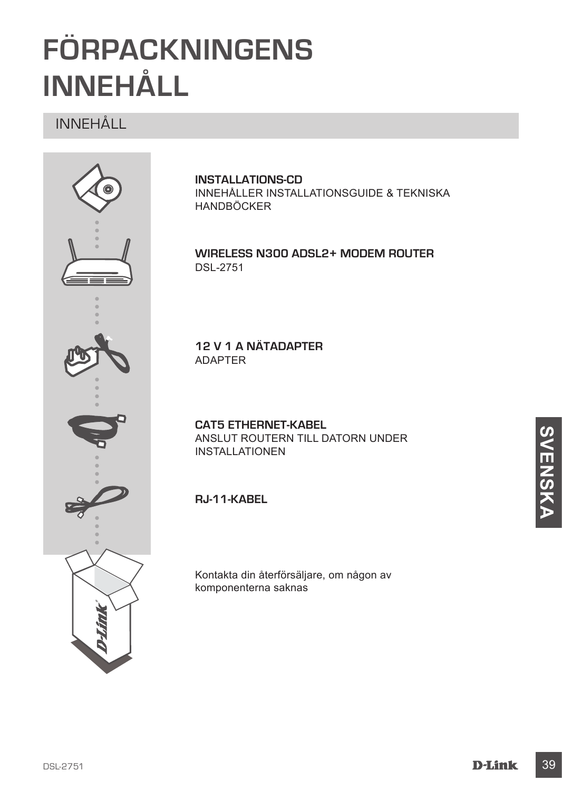## **FÖRPACKNINGENS INNEHÅLL**

## INNEHÅLL



**INSTALLATIONS-CD** INNEHÅLLER INSTALLATIONSGUIDE & TEKNISKA HANDBÖCKER

**Wireless N300 ADSL2+ Modem Router** DSL-2751

**12 V 1 A NÄTADAPTER** ADAPTER

**CAT5 ETHERNET-KABEL** ANSLUT ROUTERN TILL DATORN UNDER INSTALLATIONEN

**RJ-11-kabel**

Kontakta din återförsäljare, om någon av komponenterna saknas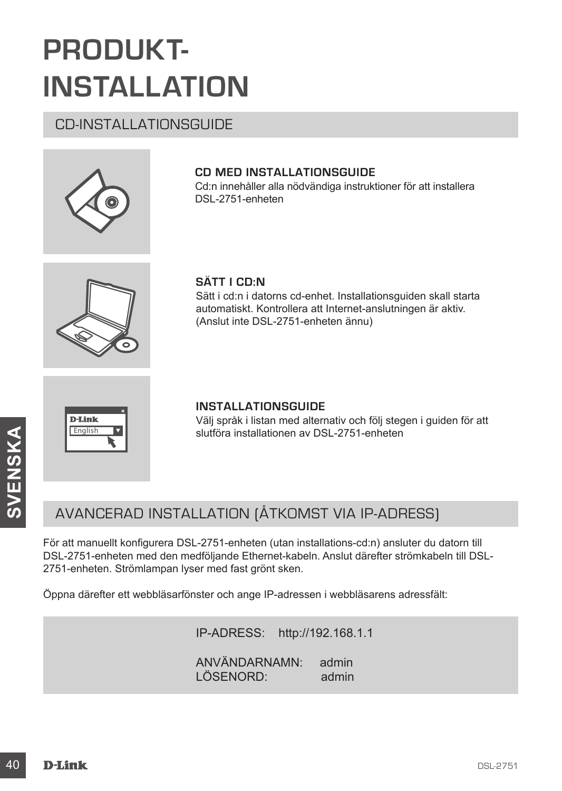## **PRODUKT-INSTALLATION**

## CD-INSTALLATIONSGUIDE



## **CD MED INSTALLATIONSGUIDE**

Cd:n innehåller alla nödvändiga instruktioner för att installera DSL-2751-enheten



## **SÄTT I CD:N**

Sätt i cd:n i datorns cd-enhet. Installationsguiden skall starta automatiskt. Kontrollera att Internet-anslutningen är aktiv. (Anslut inte DSL-2751-enheten ännu)

| <b>D-Link</b> |  |
|---------------|--|
| English       |  |
|               |  |

### **INSTALLATIONSGUIDE**

Välj språk i listan med alternativ och följ stegen i guiden för att slutföra installationen av DSL-2751-enheten

## AVANCERAD INSTALLATION (ÅTKOMST VIA IP-ADRESS)

slutföra installationen av DSL-2751-enheten<br>
20 D<br>
AVANCERAD INSTALLATION (ÅTKOMST VIA IP-ADRESS)<br>
För att manuellt konfigurera DSL-2751-enheten (utan installations-cd:n) ansluter du datorn till<br>
DSL-2751-enheten. Strömlam För att manuellt konfigurera DSL-2751-enheten (utan installations-cd:n) ansluter du datorn till DSL-2751-enheten med den medföljande Ethernet-kabeln. Anslut därefter strömkabeln till DSL-2751-enheten. Strömlampan lyser med fast grönt sken.

Öppna därefter ett webbläsarfönster och ange IP-adressen i webbläsarens adressfält:

IP-ADRESS: http://192.168.1.1 ANVÄNDARNAMN: admin LÖSENORD: admin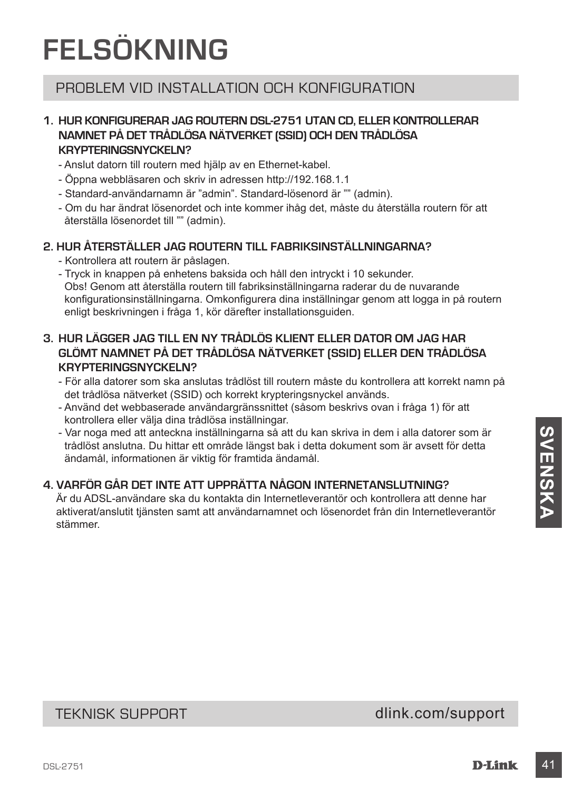## **FELSÖKNING**

## PROBLEM VID INSTALLATION OCH KONFIGURATION

## **1. HUR KONFIGURERAR JAG ROUTERN DSL-2751 UTAN CD, ELLER KONTROLLERAR NAMNET PÅ DET TRÅDLÖSA NÄTVERKET (SSID) OCH DEN TRÅDLÖSA KRYPTERINGSNYCKELN?**

- Anslut datorn till routern med hjälp av en Ethernet-kabel.
- Öppna webbläsaren och skriv in adressen http://192.168.1.1
- Standard-användarnamn är "admin". Standard-lösenord är "" (admin).
- Om du har ändrat lösenordet och inte kommer ihåg det, måste du återställa routern för att återställa lösenordet till "" (admin).

## **2. HUR ÅTERSTÄLLER JAG ROUTERN TILL FABRIKSINSTÄLLNINGARNA?**

- Kontrollera att routern är påslagen.
- Tryck in knappen på enhetens baksida och håll den intryckt i 10 sekunder. Obs! Genom att återställa routern till fabriksinställningarna raderar du de nuvarande konfigurationsinställningarna. Omkonfigurera dina inställningar genom att logga in på routern enligt beskrivningen i fråga 1, kör därefter installationsguiden.

## **3. HUR LÄGGER JAG TILL EN NY TRÅDLÖS KLIENT ELLER DATOR OM JAG HAR GLÖMT NAMNET PÅ DET TRÅDLÖSA NÄTVERKET (SSID) ELLER DEN TRÅDLÖSA KRYPTERINGSNYCKELN?**

- För alla datorer som ska anslutas trådlöst till routern måste du kontrollera att korrekt namn på det trådlösa nätverket (SSID) och korrekt krypteringsnyckel används.
- Använd det webbaserade användargränssnittet (såsom beskrivs ovan i fråga 1) för att kontrollera eller välja dina trådlösa inställningar.
- Var noga med att anteckna inställningarna så att du kan skriva in dem i alla datorer som är trådlöst anslutna. Du hittar ett område längst bak i detta dokument som är avsett för detta ändamål, informationen är viktig för framtida ändamål.

## **4. VARFÖR GÅR DET INTE ATT UPPRÄTTA NÅGON INTERNETANSLUTNING?**

- Var noga med att anteckna installning<br>
annoug med att and the character in the character in the character of the character of the character of the character of the character of the character of the character of the chara Är du ADSL-användare ska du kontakta din Internetleverantör och kontrollera att denne har aktiverat/anslutit tjänsten samt att användarnamnet och lösenordet från din Internetleverantör stämmer.

TEKNISK SUPPORT dlink.com/support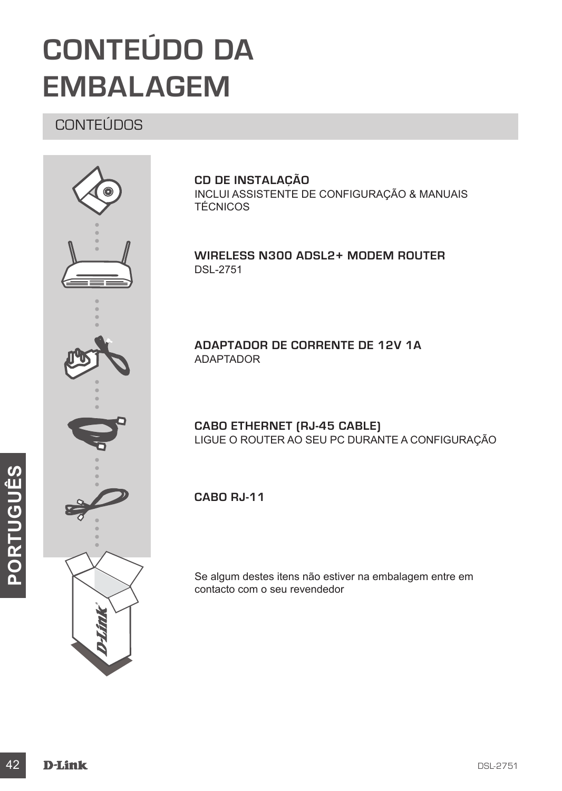## **CONTEÚDO DA EMBALAGEM**

## **CONTEÚDOS**



**CD DE INSTALAÇÃO** INCLUI ASSISTENTE DE CONFIGURAÇÃO & MANUAIS TÉCNICOS

**Wireless N300 ADSL2+ Modem Router** DSL-2751

**ADAPTADOR DE CORRENTE DE 12V 1A** ADAPTADOR

**CABO ETHERNET (RJ-45 CABLE)** LIGUE O ROUTER AO SEU PC DURANTE A CONFIGURAÇÃO

**Cabo RJ-11** 

Se algum destes itens não estiver na embalagem entre em contacto com o seu revendedor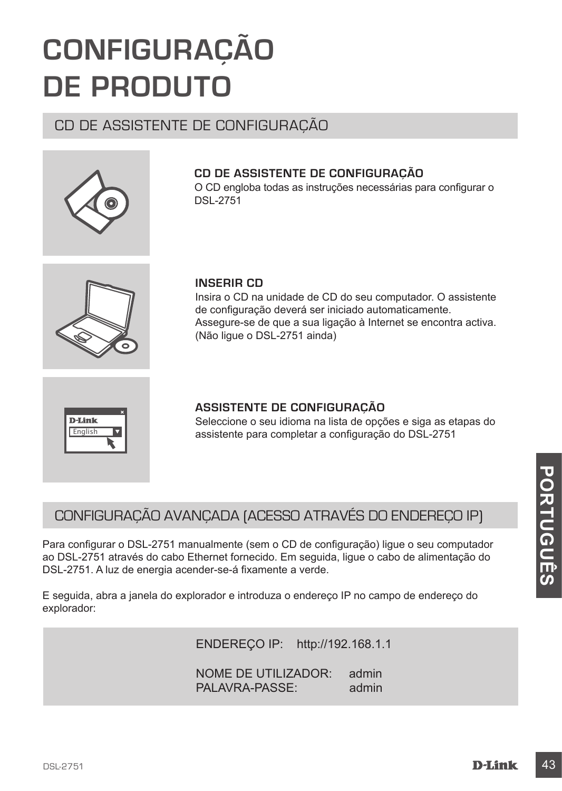**CD DE ASSISTENTE DE CONFIGURAÇÃO**

### **INSERIR CD**

DSL-2751

Insira o CD na unidade de CD do seu computador. O assistente de configuração deverá ser iniciado automaticamente. Assegure-se de que a sua ligação à Internet se encontra activa. (Não ligue o DSL-2751 ainda)

O CD engloba todas as instruções necessárias para configurar o

## **ASSISTENTE DE CONFIGURAÇÃO**

Seleccione o seu idioma na lista de opções e siga as etapas do assistente para completar a configuração do DSL-2751

## CONFIGURAÇÃO AVANÇADA (ACESSO ATRAVÉS DO ENDEREÇO IP)

CONFIGURAÇÃO AVANÇADA (ACESSO ATRAVÉS DO ENDEREÇO IP)<br>
Para configurar o DSL-2751 manualmente (sem o CD de configuração) ligue o seu computador<br>
ao DSL-2751 através do cabo Ethernet fornecido. Em seguida, lígue o cabo de a Para configurar o DSL-2751 manualmente (sem o CD de configuração) ligue o seu computador ao DSL-2751 através do cabo Ethernet fornecido. Em seguida, ligue o cabo de alimentação do DSL-2751. A luz de energia acender-se-á fixamente a verde.

E seguida, abra a janela do explorador e introduza o endereço IP no campo de endereço do explorador:

ENDEREÇO IP: http://192.168.1.1

NOME DE UTILIZADOR: admin PALAVRA-PASSE: admin

**D-Link** English

## **CONFIGURAÇÃO DE PRODUTO**

## CD DE ASSISTENTE DE CONFIGURAÇÃO





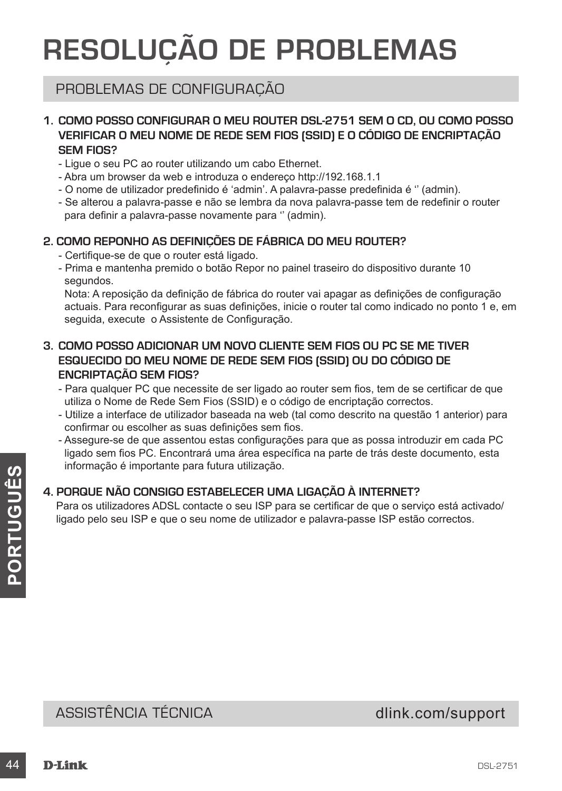## **RESOLUÇÃO DE PROBLEMAS**

## PROBLEMAS DE CONFIGURAÇÃO

### **1. COMO POSSO CONFIGURAR O MEU ROUTER DSL-2751 SEM O CD, OU COMO POSSO VERIFICAR O MEU NOME DE REDE SEM FIOS (SSID) E O CÓDIGO DE ENCRIPTAÇÃO SEM FIOS?**

- Ligue o seu PC ao router utilizando um cabo Ethernet.
- Abra um browser da web e introduza o endereço http://192.168.1.1
- O nome de utilizador predefinido é 'admin'. A palavra-passe predefinida é '' (admin).
- Se alterou a palavra-passe e não se lembra da nova palavra-passe tem de redefinir o router para definir a palavra-passe novamente para '' (admin).

## **2. COMO REPONHO AS DEFINIÇÕES DE FÁBRICA DO MEU ROUTER?**

- Certifique-se de que o router está ligado.
- Prima e mantenha premido o botão Repor no painel traseiro do dispositivo durante 10 segundos.

Nota: A reposição da definição de fábrica do router vai apagar as definições de configuração actuais. Para reconfigurar as suas definições, inicie o router tal como indicado no ponto 1 e, em seguida, execute o Assistente de Configuração.

- **3. COMO POSSO ADICIONAR UM NOVO CLIENTE SEM FIOS OU PC SE ME TIVER ESQUECIDO DO MEU NOME DE REDE SEM FIOS (SSID) OU DO CÓDIGO DE ENCRIPTAÇÃO SEM FIOS?**
	- Para qualquer PC que necessite de ser ligado ao router sem fios, tem de se certificar de que utiliza o Nome de Rede Sem Fios (SSID) e o código de encriptação correctos.
	- Utilize a interface de utilizador baseada na web (tal como descrito na questão 1 anterior) para confirmar ou escolher as suas definições sem fios.
	- Assegure-se de que assentou estas configurações para que as possa introduzir em cada PC ligado sem fios PC. Encontrará uma área específica na parte de trás deste documento, esta informação é importante para futura utilização.

## **4. PORQUE NÃO CONSIGO ESTABELECER UMA LIGAÇÃO À INTERNET?**

4. PORQUE NÃO CONSIGO ESTABELECER UMA LIGAÇÃO À INTERNET?<br>
Para os utilizadores ADSL contacte o seu ISP para se certificar de que o serviço está activado/<br>
Ilgado pelo seu ISP e que o seu nome de utilizador e palavra-passe Para os utilizadores ADSL contacte o seu ISP para se certificar de que o serviço está activado/ ligado pelo seu ISP e que o seu nome de utilizador e palavra-passe ISP estão correctos.

## ASSISTÊNCIA TÉCNICA dink.com/support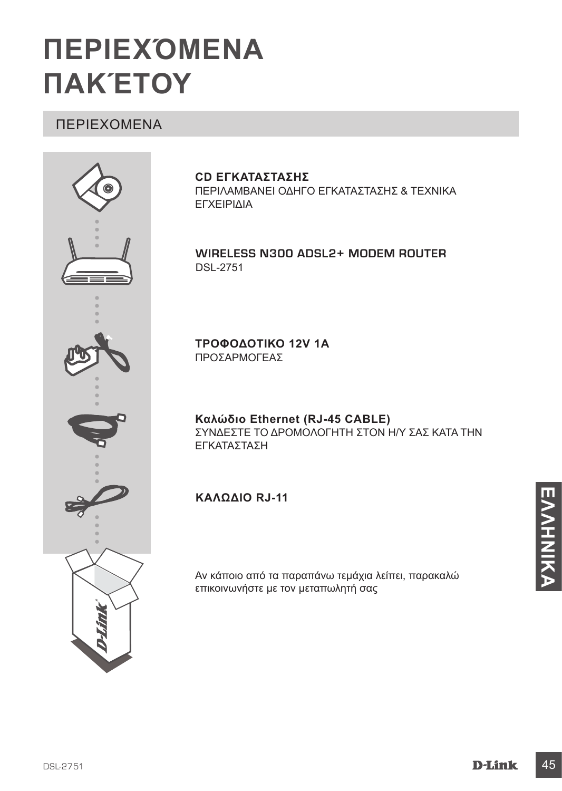## **ΠΕΡΙΕΧΌΜΕΝΑ ΠΑΚΈΤΟΥ**

## ΠΕΡΙΕΧΟΜΕΝΑ



### **CD ΕΓΚΑΤΑΣΤΑΣΗΣ**

ΠΕΡΙΛΑΜΒΑΝΕΙ ΟΔΗΓΟ ΕΓΚΑΤΑΣΤΑΣΗΣ & ΤΕΧΝΙΚΑ ΕΓΧΕΙΡΙΔΙΑ

### **Wireless N300 ADSL2+ Modem Router** DSL-2751

**ΤΡΟΦΟΔΟΤΙΚΟ 12V 1A** ΠΡΟΣΑΡΜΟΓΕΑΣ

**Καλώδιο Ethernet (RJ-45 CABLE)** ΣΥΝΔΕΣΤΕ ΤΟ ΔΡΟΜΟΛΟΓΗΤΗ ΣΤΟΝ Η/Υ ΣΑΣ ΚΑΤΑ ΤΗΝ ΕΓΚΑΤΑΣΤΑΣΗ

## **Καλώδιο RJ-11**

Αν κάποιο από τα παραπάνω τεμάχια λείπει, παρακαλώ επικοινωνήστε με τον μεταπωλητή σας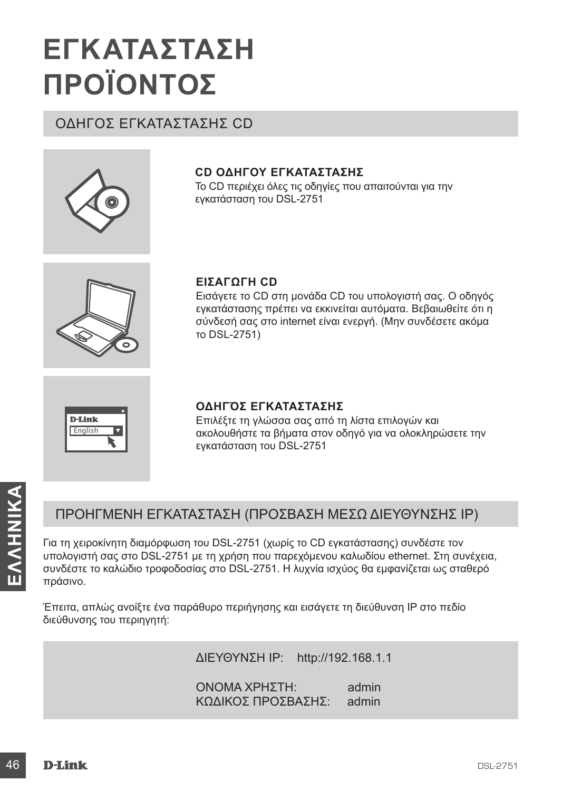## **ΕΓΚΑΤΑΣΤΑΣΗ ΠΡΟΪΟΝΤΟΣ**

## ΟΔΗΓΟΣ ΕΓΚΑΤΑΣΤΑΣΗΣ CD



## **CD ΟΔΗΓΟΥ ΕΓΚΑΤΑΣΤΑΣΗΣ**

Το CD περιέχει όλες τις οδηγίες που απαιτούνται για την εγκατάσταση του DSL-2751



## **ΕΙΣΑΓΩΓΗ CD**

Εισάγετε το CD στη μονάδα CD του υπολογιστή σας. Ο οδηγός εγκατάστασης πρέπει να εκκινείται αυτόματα. Βεβαιωθείτε ότι η σύνδεσή σας στο internet είναι ενεργή. (Μην συνδέσετε ακόμα το DSL-2751)



### **ΟΔΗΓΌΣ ΕΓΚΑΤΑΣΤΑΣΗΣ**

Επιλέξτε τη γλώσσα σας από τη λίστα επιλογών και ακολουθήστε τα βήματα στον οδηγό για να ολοκληρώσετε την εγκατάσταση του DSL-2751

## ΠΡΟΗΓΜΕΝΗ ΕΓΚΑΤΑΣΤΑΣΗ (ΠΡΟΣΒΑΣΗ ΜΕΣΩ ΔΙΕΥΘΥΝΣΗΣ IP)

19 **ΕΛΛΕΙΑΙ**<br>
19 ΠΡΟΗΓΜΕΝΗ ΕΓΚΑΤΑΣΤΑΣΗ (ΠΡΟΣΒΑΣΗ ΜΕΣΩ ΔΙΕΥΘΥΝΣΗΣ ΙΡ)<br>
10 τη χειροκίνητη διαμόρφωση του DSL-2751 (χωρίς το CD εγκατάστασης) συνδέστε τον<br>
υπολογιστή σας στο DSL-2751 με τη χρήση που παρεχόμενου καλωδίου eth Για τη χειροκίνητη διαμόρφωση του DSL-2751 (χωρίς το CD εγκατάστασης) συνδέστε τον υπολογιστή σας στο DSL-2751 με τη χρήση που παρεχόμενου καλωδίου ethernet. Στη συνέχεια, συνδέστε το καλώδιο τροφοδοσίας στο DSL-2751. Η λυχνία ισχύος θα εμφανίζεται ως σταθερό πράσινο.

Έπειτα, απλώς ανοίξτε ένα παράθυρο περιήγησης και εισάγετε τη διεύθυνση IP στο πεδίο διεύθυνσης του περιηγητή:

ΔΙΕΥΘΥΝΣΗ IP: http://192.168.1.1

ΟΝΟΜΑ ΧΡΗΣΤΗ: admin ΚΩΔΙΚΟΣ ΠΡΟΣΒΑΣΗΣ: admin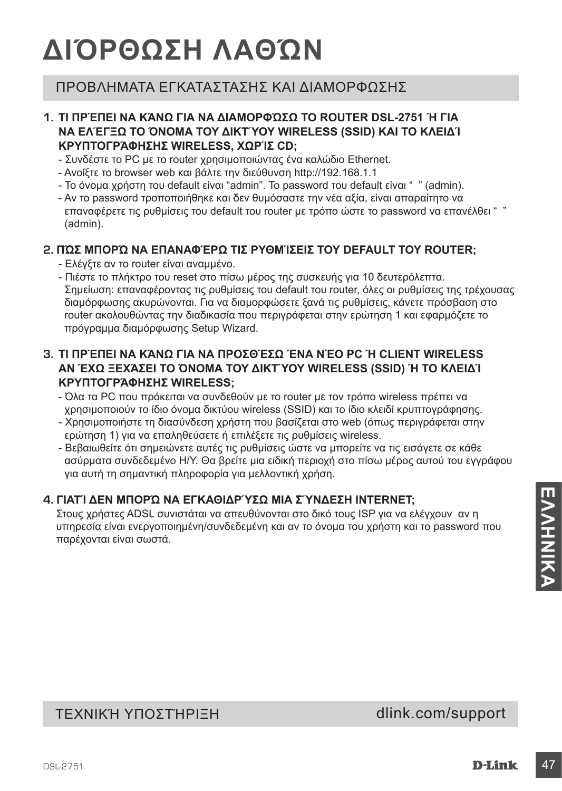## **ΔΙΌΡΘΩΣΗ ΛΑΘΏΝ**

## ΠΡΟΒΛΗΜΑΤΑ ΕΓΚΑΤΑΣΤΑΣΗΣ ΚΑΙ ΔΙΑΜΟΡΦΩΣΗΣ

### **1. ΤΙ ΠΡΈΠΕΙ ΝΑ ΚΆΝΩ ΓΙΑ ΝΑ ΔΙΑΜΟΡΦΏΣΩ ΤΟ ROUTER DSL-2751 Ή ΓΙΑ ΝΑ ΕΛΈΓΞΩ ΤΟ ΌΝΟΜΑ ΤΟΥ ΔΙΚΤΎΟΥ WIRELESS (SSID) ΚΑΙ ΤΟ ΚΛΕΙΔΊ ΚΡΥΠΤΟΓΡΆΦΗΣΗΣ WIRELESS, ΧΩΡΊΣ CD;**

- Συνδέστε το PC με το router χρησιμοποιώντας ένα καλώδιο Ethernet.
- Ανοίξτε το browser web και βάλτε την διεύθυνση http://192.168.1.1
- Το όνομα χρήστη του default είναι "admin". Το password του default είναι " " (admin).
- Αν το password τροποποιήθηκε και δεν θυμόσαστε την νέα αξία, είναι απαραίτητο να επαναφέρετε τις ρυθμίσεις του default του router με τρόπο ώστε το password να επανέλθει " " (admin).

## **2. ΠΏΣ ΜΠΟΡΏ ΝΑ ΕΠΑΝΑΦΈΡΩ ΤΙΣ ΡΥΘΜΊΣΕΙΣ ΤΟΥ DEFAULT ΤΟΥ ROUTER;**

- Ελέγξτε αν το router είναι αναμμένο.
- Πιέστε το πλήκτρο του reset στο πίσω μέρος της συσκευής για 10 δευτερόλεπτα. Σημείωση: επαναφέροντας τις ρυθμίσεις του default του router, όλες οι ρυθμίσεις της τρέχουσας διαμόρφωσης ακυρώνονται. Για να διαμορφώσετε ξανά τις ρυθμίσεις, κάνετε πρόσβαση στο router ακολουθώντας την διαδικασία που περιγράφεται στην ερώτηση 1 και εφαρμόζετε το πρόγραμμα διαμόρφωσης Setup Wizard.

### **3. ΤΙ ΠΡΈΠΕΙ ΝΑ ΚΆΝΩ ΓΙΑ ΝΑ ΠΡΟΣΘΈΣΩ ΈΝΑ ΝΈΟ PC Ή CLIENT WIRELESS ΑΝ ΈΧΩ ΞΕΧΆΣΕΙ ΤΟ ΌΝΟΜΑ ΤΟΥ ΔΙΚΤΎΟΥ WIRELESS (SSID) Ή ΤΟ ΚΛΕΙΔΊ ΚΡΥΠΤΟΓΡΆΦΗΣΗΣ WIRELESS;**

- Όλα τα PC που πρόκειται να συνδεθούν με το router με τον τρόπο wireless πρέπει να χρησιμοποιούν το ίδιο όνομα δικτύου wireless (SSID) και το ίδιο κλειδί κρυπτογράφησης.
- Χρησιμοποιήστε τη διασύνδεση χρήστη που βασίζεται στο web (όπως περιγράφεται στην ερώτηση 1) για να επαληθεύσετε ή επιλέξετε τις ρυθμίσεις wireless.
- Βεβαιωθείτε ότι σημειώνετε αυτές τις ρυθμίσεις ώστε να μπορείτε να τις εισάγετε σε κάθε ασύρματα συνδεδεμένο Η/Υ. Θα βρείτε μια ειδική περιοχή στο πίσω μέρος αυτού του εγγράφου για αυτή τη σημαντική πληροφορία για μελλοντική χρήση.

## **4. ΓΙΑΤΊ ΔΕΝ ΜΠΟΡΏ ΝΑ ΕΓΚΑΘΙΔΡΎΣΩ ΜΙΑ ΣΎΝΔΕΣΗ INTERNET;**

4. ΓΙΑΤΊ ΔΕΝ ΜΠΟΡΏ ΝΑ ΕΓΚΑΘΙΔΡΎΣΩ ΜΙΑ ΣΎΝΔΕΣΗ INTERNET;<br>
Στους χρήστες ADSL συνιστάται να απευθύνονται στο δικό τους ISP για να ελέγχουν αν η<br>
υπηρεσία είναι ενεργοποιημένη/συνδεδεμένη και αν το όνομα του χρήστη και το pa Στους χρήστες ADSL συνιστάται να απευθύνονται στο δικό τους ISP για να ελέγχουν αν η υπηρεσία είναι ενεργοποιημένη/συνδεδεμένη και αν το όνομα του χρήστη και το password που παρέχονται είναι σωστά.

## ΤΕΧΝΙΚΉ ΥΠΟΣΤΉΡΙΞΗ dlink.com/support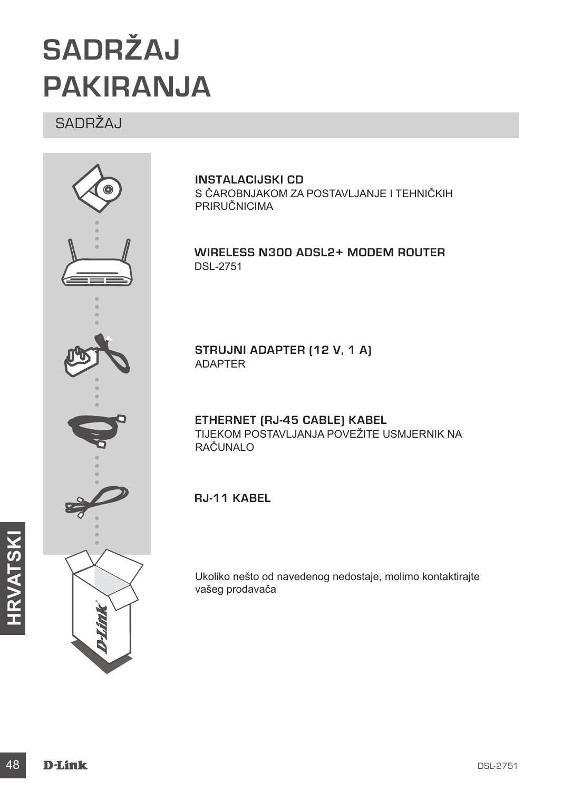## **SADRŽAJ PAKIRANJA**

SADRŽAJ



**INSTALACIJSKI CD**  S ČAROBNJAKOM ZA POSTAVLJANJE I TEHNIČKIH PRIRUČNICIMA

**Wireless N300 ADSL2+ Modem Router** DSL-2751

**STRUJNI ADAPTER (12 V, 1 A)** ADAPTER

**ETHERNET (RJ-45 CABLE) KABEL** TIJEKOM POSTAVLJANJA POVEŽITE USMJERNIK NA RAČUNALO

**RJ-11 kabel**

Ukoliko nešto od navedenog nedostaje, molimo kontaktirajte vašeg prodavača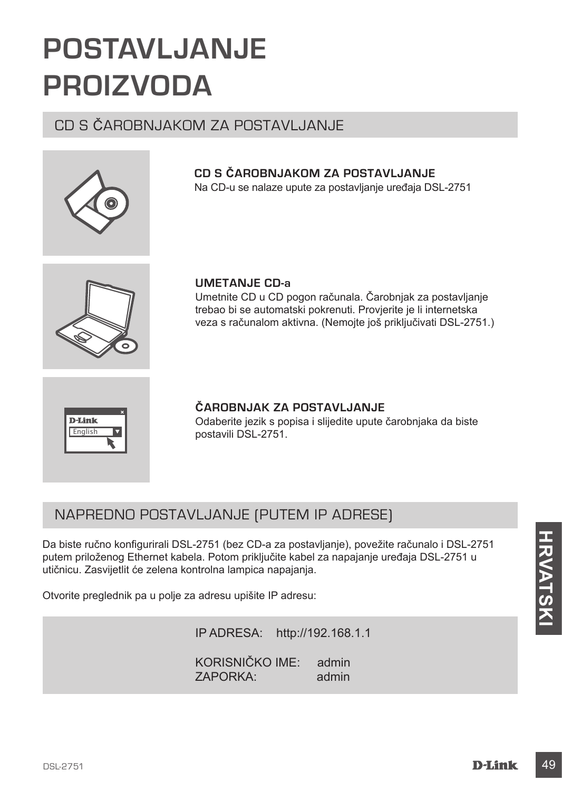## **POSTAVLJANJE PROIZVODA**

## CD S ČAROBNJAKOM ZA POSTAVLJANJE



### **CD S ČAROBNJAKOM ZA POSTAVLJANJE** Na CD-u se nalaze upute za postavljanje uređaja DSL-2751

**UMETANJE CD-a**  Umetnite CD u CD pogon računala. Čarobnjak za postavljanje trebao bi se automatski pokrenuti. Provjerite je li internetska veza s računalom aktivna. (Nemojte još priključivati DSL-2751.)



**ČAROBNJAK ZA POSTAVLJANJE** Odaberite jezik s popisa i slijedite upute čarobnjaka da biste postavili DSL-2751.

## NAPREDNO POSTAVLJANJE (PUTEM IP ADRESE)

Da biste ručno konfigurirali DSL-2751 (bez CD-a za postavljanje), povežite računalo i DSL-2751<br>putem priloženog Ethernet kabela. Potom priključite kabel za napajanje uređaja DSL-2751 u<br>utičnicu. Zasvijetlit će zelena kontr Da biste ručno konfigurirali DSL-2751 (bez CD-a za postavljanje), povežite računalo i DSL-2751 putem priloženog Ethernet kabela. Potom priključite kabel za napajanje uređaja DSL-2751 u utičnicu. Zasvijetlit će zelena kontrolna lampica napajanja.

Otvorite preglednik pa u polje za adresu upišite IP adresu:

IP ADRESA: http://192.168.1.1 KORISNIČKO IME: admin ZAPORKA: admin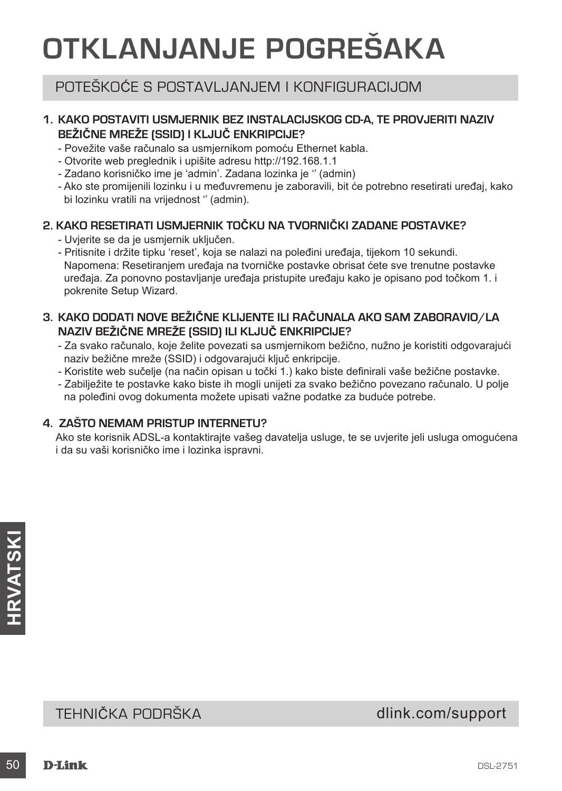## **OTKLANJANJE POGREŠAKA**

## POTEŠKOĆE S POSTAVLJANJEM I KONFIGURACIJOM

## **1. KAKO POSTAVITI USMJERNIK BEZ INSTALACIJSKOG CD-A, TE PROVJERITI NAZIV BEŽIČNE MREŽE (SSID) I KLJUČ ENKRIPCIJE?**

- Povežite vaše računalo sa usmjernikom pomoću Ethernet kabla.
- Otvorite web preglednik i upišite adresu http://192.168.1.1
- Zadano korisničko ime je 'admin'. Zadana lozinka je '' (admin)
- Ako ste promijenili lozinku i u međuvremenu je zaboravili, bit će potrebno resetirati uređaj, kako bi lozinku vratili na vrijednost '' (admin).

## **2. KAKO RESETIRATI USMJERNIK TOČKU NA TVORNIČKI ZADANE POSTAVKE?**

- Uvjerite se da je usmjernik uključen.
- Pritisnite i držite tipku 'reset', koja se nalazi na poleđini uređaja, tijekom 10 sekundi. Napomena: Resetiranjem uređaja na tvorničke postavke obrisat ćete sve trenutne postavke uređaja. Za ponovno postavljanje uređaja pristupite uređaju kako je opisano pod točkom 1. i pokrenite Setup Wizard.
- **3. KAKO DODATI NOVE BEŽIČNE KLIJENTE ILI RAČUNALA AKO SAM ZABORAVIO/LA NAZIV BEŽIČNE MREŽE (SSID) ILI KLJUČ ENKRIPCIJE?**
	- Za svako računalo, koje želite povezati sa usmjernikom bežično, nužno je koristiti odgovarajući naziv bežične mreže (SSID) i odgovarajući ključ enkripcije.
	- Koristite web sučelje (na način opisan u točki 1.) kako biste definirali vaše bežične postavke.
	- Zabilježite te postavke kako biste ih mogli unijeti za svako bežično povezano računalo. U polje na poleđini ovog dokumenta možete upisati važne podatke za buduće potrebe.

## **4. ZAŠTO NEMAM PRISTUP INTERNETU?**

Ako ste korisnik ADSL-a kontaktirajte vašeg davatelja usluge, te se uvjerite jeli usluga omogućena i da su vaši korisničko ime i lozinka ispravni.

## **SALAS<br>
TEHNIČKA PODRŠKA**<br> **SO**<br> **D-Link**<br> **D-Link**<br> **D-Link** TEHNIČKA PODRŠKA do nastavi dlink.com/support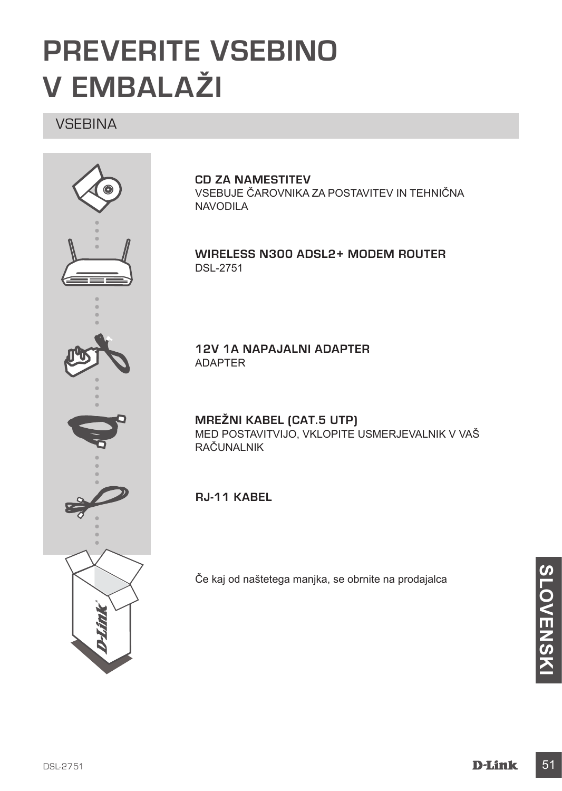## **PREVERITE VSEBINO V EMBALAŽI**

## **VSEBINA**



### **CD ZA NAMESTITEV**

VSEBUJE ČAROVNIKA ZA POSTAVITEV IN TEHNIČNA NAVODILA

**Wireless N300 ADSL2+ Modem Router** DSL-2751

**12V 1A NAPAJALNI ADAPTER** ADAPTER

**MREŽNI KABEL (CAT.5 UTP)** MED POSTAVITVIJO, VKLOPITE USMERJEVALNIK V VAŠ RAČUNALNIK

**RJ-11 kabel**

Če kaj od naštetega manjka, se obrnite na prodajalca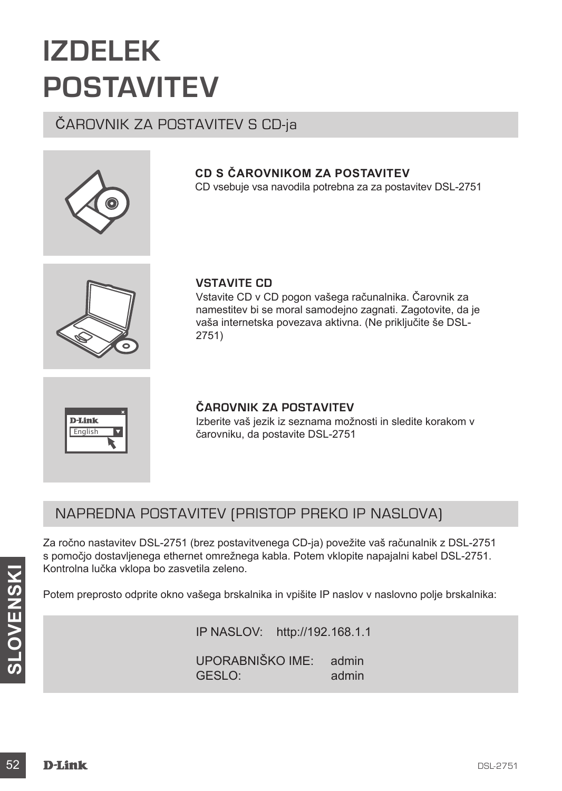## **IZDELEK POSTAVITEV**

## ČAROVNIK ZA POSTAVITEV S CD-ja



## **CD S ČAROVNIKOM ZA POSTAVITEV**

CD vsebuje vsa navodila potrebna za za postavitev DSL-2751



## **VSTAVITE CD**

Vstavite CD v CD pogon vašega računalnika. Čarovnik za namestitev bi se moral samodejno zagnati. Zagotovite, da je vaša internetska povezava aktivna. (Ne priključite še DSL-2751)

**D-Link** English

## **ČAROVNIK ZA POSTAVITEV**

Izberite vaš jezik iz seznama možnosti in sledite korakom v čarovniku, da postavite DSL-2751

## NAPREDNA POSTAVITEV (PRISTOP PREKO IP NASLOVA)

Za ročno nastavitev DSL-2751 (brez postavitvenega CD-ja) povežite vaš računalnik z DSL-2751 s pomočjo dostavljenega ethernet omrežnega kabla. Potem vklopite napajalni kabel DSL-2751. Kontrolna lučka vklopa bo zasvetila zeleno.

Potem preprosto odprite okno vašega brskalnika in vpišite IP naslov v naslovno polje brskalnika:

Kontrolna lučka vklopa bo zasvetila zeleno.<br>
Potem preprosto odprite okno vašega brskalnika in vpišite IP naslov v naslovno polje brskalnika:<br>
IP NASLOV: http://192.168.1.1<br>
UPORABNIŠKO IME: admin<br>
GESLO:<br> **D-Link** DSL-275 IP NASLOV: http://192.168.1.1 UPORABNIŠKO IME: admin GESLO<sup>:</sup> admin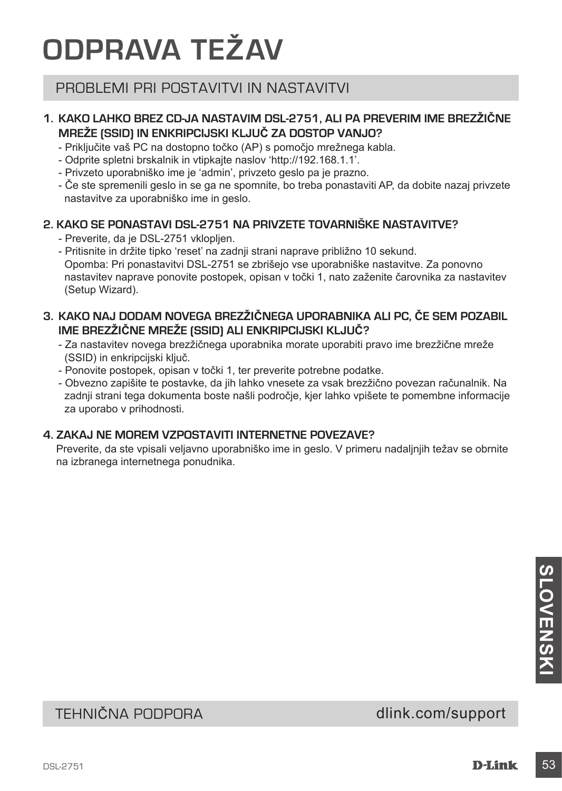## **ODPRAVA TEŽAV**

## PROBLEMI PRI POSTAVITVI IN NASTAVITVI

## **1. KAKO LAHKO BREZ CD-JA NASTAVIM DSL-2751, ALI PA PREVERIM IME BREZŽIČNE MREŽE (SSID) IN ENKRIPCIJSKI KLJUČ ZA DOSTOP VANJO?**

- Priključite vaš PC na dostopno točko (AP) s pomočjo mrežnega kabla.
- Odprite spletni brskalnik in vtipkajte naslov 'http://192.168.1.1'.
- Privzeto uporabniško ime je 'admin', privzeto geslo pa je prazno.
- Če ste spremenili geslo in se ga ne spomnite, bo treba ponastaviti AP, da dobite nazaj privzete nastavitve za uporabniško ime in geslo.

## **2. KAKO SE PONASTAVI DSL-2751 NA PRIVZETE TOVARNIŠKE NASTAVITVE?**

- Preverite, da je DSL-2751 vklopljen.
- Pritisnite in držite tipko 'reset' na zadnji strani naprave približno 10 sekund. Opomba: Pri ponastavitvi DSL-2751 se zbrišejo vse uporabniške nastavitve. Za ponovno nastavitev naprave ponovite postopek, opisan v točki 1, nato zaženite čarovnika za nastavitev (Setup Wizard).

## **3. KAKO NAJ DODAM NOVEGA BREZŽIČNEGA UPORABNIKA ALI PC, ČE SEM POZABIL IME BREZŽIČNE MREŽE (SSID) ALI ENKRIPCIJSKI KLJUČ?**

- Za nastavitev novega brezžičnega uporabnika morate uporabiti pravo ime brezžične mreže (SSID) in enkripcijski ključ.
- Ponovite postopek, opisan v točki 1, ter preverite potrebne podatke.
- Obvezno zapišite te postavke, da jih lahko vnesete za vsak brezžično povezan računalnik. Na zadnji strani tega dokumenta boste našli področje, kjer lahko vpišete te pomembne informacije za uporabo v prihodnosti.

## **4. ZAKAJ NE MOREM VZPOSTAVITI INTERNETNE POVEZAVE?**

Preverite, da ste vpisali veljavno uporabniško ime in geslo. V primeru nadaljnjih težav se obrnite na izbranega internetnega ponudnika.

# **COLONEYS AND COLONEYS AND COLONEYS AND SURFAINITY OF A SAMPLE SERVER AND SURFAINING MORE CONTINUES.**<br>
TEHNIČNA PODPORA<br>
DSL2751 **D-Link** 53

TEHNIČNA PODPORA dlink.com/support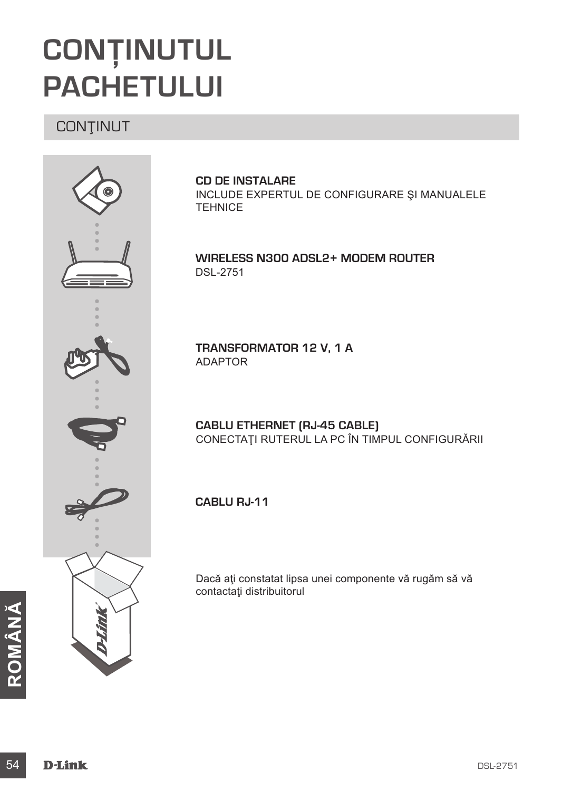## **CONŢINUTUL PACHETULUI**

## **CONTINUT**



**CD DE INSTALARE**  INCLUDE EXPERTUL DE CONFIGURARE ŞI MANUALELE **TEHNICE** 

**Wireless N300 ADSL2+ Modem Router** DSL-2751

**TRANSFORMATOR 12 V, 1 A** ADAPTOR

**CABLU ETHERNET (RJ-45 CABLE)** CONECTAŢI RUTERUL LA PC ÎN TIMPUL CONFIGURĂRII

**Cablu RJ-11**

Dacă ați constatat lipsa unei componente vă rugăm să vă contactaţi distribuitorul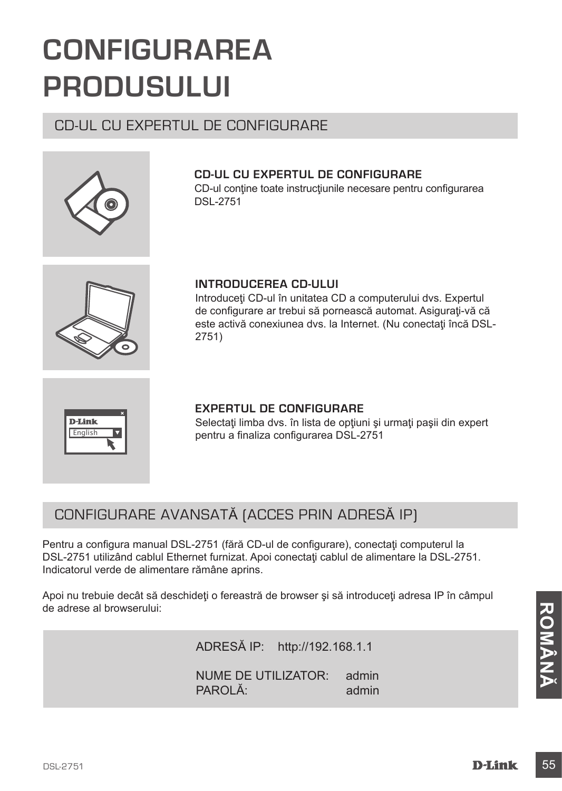## **CONFIGURAREA PRODUSULUI**

## CD-UL CU EXPERTUL DE CONFIGURARE



## **CD-UL CU EXPERTUL DE CONFIGURARE**

CD-ul contine toate instructiunile necesare pentru configurarea DSL-2751



## **INTRODUCEREA CD-ULUI**

Introduceti CD-ul în unitatea CD a computerului dvs. Expertul de configurare ar trebui să pornească automat. Asigurați-vă că este activă conexiunea dvs. la Internet. (Nu conectați încă DSL-2751)



### **EXPERTUL DE CONFIGURARE**

Selectați limba dvs. în lista de opțiuni și urmați pașii din expert pentru a finaliza configurarea DSL-2751

## CONFIGURARE AVANSATĂ (ACCES PRIN ADRESĂ IP)

Pentru a configura manual DSL-2751 (fără CD-ul de configurare), conectați computerul la DSL-2751 utilizând cablul Ethernet furnizat. Apoi conectați cablul de alimentare la DSL-2751. Indicatorul verde de alimentare rămâne aprins.

de adrese al browserului:<br>
ADRESĂ IP: http://192.168.1.1<br>
NUME DE UTILIZATOR: admin<br>
PAROLĂ: admin<br>
D-Link 55 Apoi nu trebuie decât să deschideti o fereastră de browser și să introduceți adresa IP în câmpul de adrese al browserului:

ADRESĂ IP: http://192.168.1.1

NUME DE UTILIZATOR: admin PAROLĂ<sup>:</sup> admin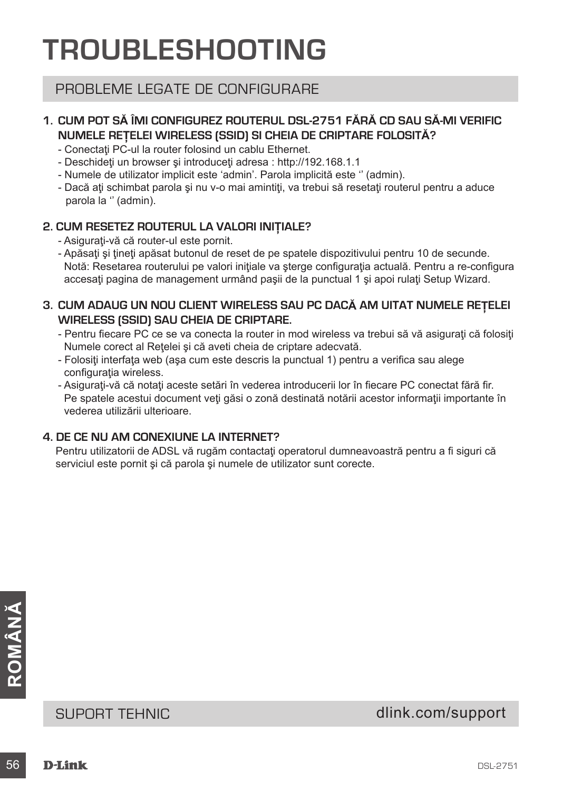## **TROUBLESHOOTING**

## PROBLEME LEGATE DE CONFIGURARE

## **1. CUM POT SĂ ÎMI CONFIGUREZ ROUTERUL DSL-2751 FĂRĂ CD SAU SĂ-MI VERIFIC NUMELE REŢELEI WIRELESS (SSID) SI CHEIA DE CRIPTARE FOLOSITĂ?**

- Conectati PC-ul la router folosind un cablu Ethernet.
- Deschideti un browser și introduceți adresa : http://192.168.1.1
- Numele de utilizator implicit este 'admin'. Parola implicită este '' (admin).
- Dacă ați schimbat parola și nu v-o mai amintiți, va trebui să resetați routerul pentru a aduce parola la '' (admin).

### **2. CUM RESETEZ ROUTERUL LA VALORI INIŢIALE?**

- Asiguraţi-vă că router-ul este pornit.
- Apăsaţi şi ţineţi apăsat butonul de reset de pe spatele dispozitivului pentru 10 de secunde. Notă: Resetarea routerului pe valori inițiale va sterge configurația actuală. Pentru a re-configura accesati pagina de management urmând pasii de la punctual 1 și apoi rulați Setup Wizard.

## **3. CUM ADAUG UN NOU CLIENT WIRELESS SAU PC DACĂ AM UITAT NUMELE REŢELEI WIRELESS (SSID) SAU CHEIA DE CRIPTARE.**

- Pentru fiecare PC ce se va conecta la router in mod wireless va trebui să vă asigurați că folosiți Numele corect al Reţelei şi că aveti cheia de criptare adecvată.
- Folosiţi interfaţa web (aşa cum este descris la punctual 1) pentru a verifica sau alege configuratia wireless.
- Asigurati-vă că notați aceste setări în vederea introducerii lor în fiecare PC conectat fără fir. Pe spatele acestui document veți găsi o zonă destinată notării acestor informații importante în vederea utilizării ulterioare.

## **4. DE CE NU AM CONEXIUNE LA INTERNET?**

Pentru utilizatorii de ADSL vă rugăm contactaţi operatorul dumneavoastră pentru a fi siguri că serviciul este pornit şi că parola şi numele de utilizator sunt corecte.

SUPORT TEHNIC<br>
SUPORT TEHNIC<br>
56 D-Link<br>
B-Link<br>
56 D-Link<br>
B-Link<br> **B-Link** SUPORT TEHNIC dlink.com/support